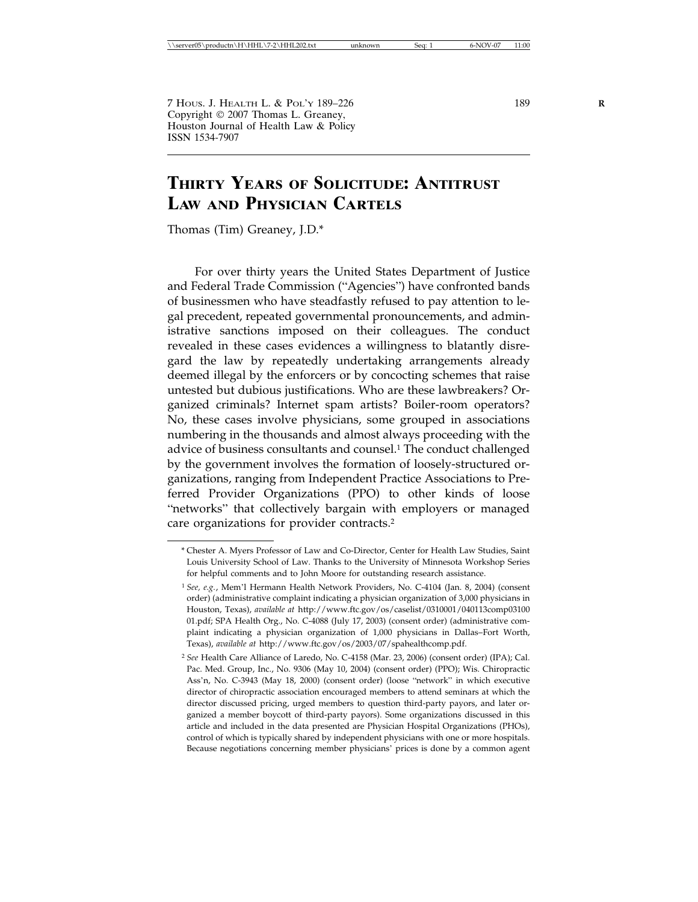7 HOUS. J. HEALTH L. & POL'Y 189–226 189 **R** Copyright  $\odot$  2007 Thomas L. Greaney, Houston Journal of Health Law & Policy ISSN 1534-7907

# **THIRTY YEARS OF SOLICITUDE: ANTITRUST LAW AND PHYSICIAN CARTELS**

Thomas (Tim) Greaney, J.D.\*

For over thirty years the United States Department of Justice and Federal Trade Commission ("Agencies") have confronted bands of businessmen who have steadfastly refused to pay attention to legal precedent, repeated governmental pronouncements, and administrative sanctions imposed on their colleagues. The conduct revealed in these cases evidences a willingness to blatantly disregard the law by repeatedly undertaking arrangements already deemed illegal by the enforcers or by concocting schemes that raise untested but dubious justifications. Who are these lawbreakers? Organized criminals? Internet spam artists? Boiler-room operators? No, these cases involve physicians, some grouped in associations numbering in the thousands and almost always proceeding with the advice of business consultants and counsel.<sup>1</sup> The conduct challenged by the government involves the formation of loosely-structured organizations, ranging from Independent Practice Associations to Preferred Provider Organizations (PPO) to other kinds of loose "networks" that collectively bargain with employers or managed care organizations for provider contracts.2

<sup>\*</sup> Chester A. Myers Professor of Law and Co-Director, Center for Health Law Studies, Saint Louis University School of Law. Thanks to the University of Minnesota Workshop Series for helpful comments and to John Moore for outstanding research assistance.

<sup>1</sup> *See, e.g.*, Mem'l Hermann Health Network Providers, No. C-4104 (Jan. 8, 2004) (consent order) (administrative complaint indicating a physician organization of 3,000 physicians in Houston, Texas), *available at* http://www.ftc.gov/os/caselist/0310001/040113comp03100 01.pdf; SPA Health Org., No. C-4088 (July 17, 2003) (consent order) (administrative complaint indicating a physician organization of 1,000 physicians in Dallas–Fort Worth, Texas), *available at* http://www.ftc.gov/os/2003/07/spahealthcomp.pdf.

<sup>2</sup> *See* Health Care Alliance of Laredo, No. C-4158 (Mar. 23, 2006) (consent order) (IPA); Cal. Pac. Med. Group, Inc., No. 9306 (May 10, 2004) (consent order) (PPO); Wis. Chiropractic Ass'n, No. C-3943 (May 18, 2000) (consent order) (loose "network" in which executive director of chiropractic association encouraged members to attend seminars at which the director discussed pricing, urged members to question third-party payors, and later organized a member boycott of third-party payors). Some organizations discussed in this article and included in the data presented are Physician Hospital Organizations (PHOs), control of which is typically shared by independent physicians with one or more hospitals. Because negotiations concerning member physicians' prices is done by a common agent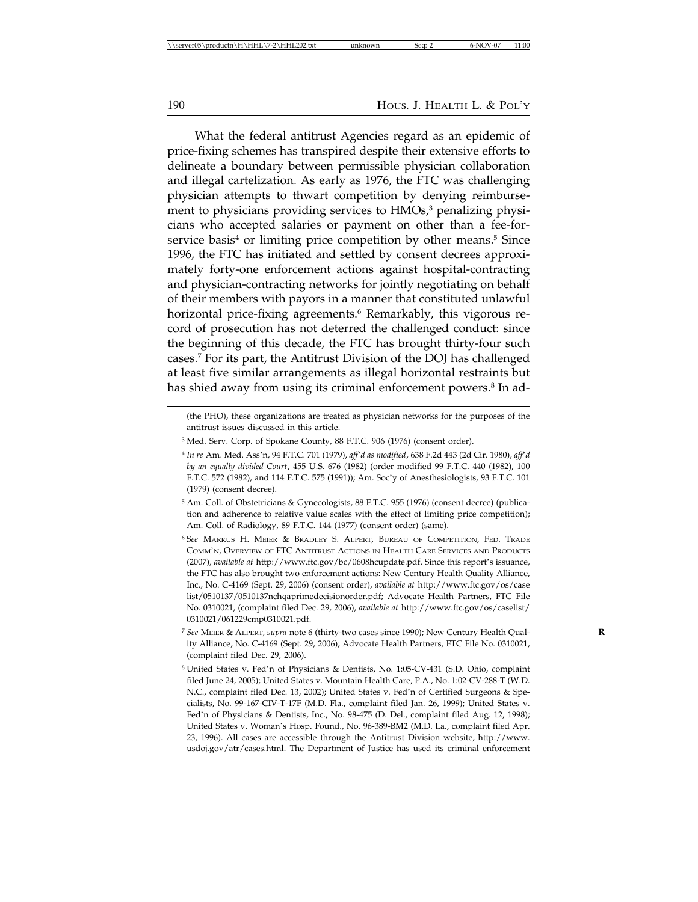190 Hous. J. HEALTH L. & POL'Y

What the federal antitrust Agencies regard as an epidemic of price-fixing schemes has transpired despite their extensive efforts to delineate a boundary between permissible physician collaboration and illegal cartelization. As early as 1976, the FTC was challenging physician attempts to thwart competition by denying reimbursement to physicians providing services to HMOs,<sup>3</sup> penalizing physicians who accepted salaries or payment on other than a fee-forservice basis<sup>4</sup> or limiting price competition by other means.<sup>5</sup> Since 1996, the FTC has initiated and settled by consent decrees approximately forty-one enforcement actions against hospital-contracting and physician-contracting networks for jointly negotiating on behalf of their members with payors in a manner that constituted unlawful horizontal price-fixing agreements.<sup>6</sup> Remarkably, this vigorous record of prosecution has not deterred the challenged conduct: since the beginning of this decade, the FTC has brought thirty-four such cases.7 For its part, the Antitrust Division of the DOJ has challenged at least five similar arrangements as illegal horizontal restraints but has shied away from using its criminal enforcement powers.<sup>8</sup> In ad-

<sup>(</sup>the PHO), these organizations are treated as physician networks for the purposes of the antitrust issues discussed in this article.

<sup>3</sup> Med. Serv. Corp. of Spokane County, 88 F.T.C. 906 (1976) (consent order).

<sup>4</sup> *In re* Am. Med. Ass'n, 94 F.T.C. 701 (1979), *aff*'*d as modified*, 638 F.2d 443 (2d Cir. 1980), *aff*'*d by an equally divided Court*, 455 U.S. 676 (1982) (order modified 99 F.T.C. 440 (1982), 100 F.T.C. 572 (1982), and 114 F.T.C. 575 (1991)); Am. Soc'y of Anesthesiologists, 93 F.T.C. 101 (1979) (consent decree).

<sup>5</sup> Am. Coll. of Obstetricians & Gynecologists, 88 F.T.C. 955 (1976) (consent decree) (publication and adherence to relative value scales with the effect of limiting price competition); Am. Coll. of Radiology, 89 F.T.C. 144 (1977) (consent order) (same).

<sup>6</sup> S*ee* MARKUS H. MEIER & BRADLEY S. ALPERT, BUREAU OF COMPETITION, FED. TRADE COMM'N, OVERVIEW OF FTC ANTITRUST ACTIONS IN HEALTH CARE SERVICES AND PRODUCTS (2007), *available at* http://www.ftc.gov/bc/0608hcupdate.pdf. Since this report's issuance, the FTC has also brought two enforcement actions: New Century Health Quality Alliance, Inc., No. C-4169 (Sept. 29, 2006) (consent order), *available at* http://www.ftc.gov/os/case list/0510137/0510137nchqaprimedecisionorder.pdf; Advocate Health Partners, FTC File No. 0310021, (complaint filed Dec. 29, 2006), *available at* http://www.ftc.gov/os/caselist/ 0310021/061229cmp0310021.pdf.

<sup>7</sup> *See* MEIER & ALPERT, *supra* note 6 (thirty-two cases since 1990); New Century Health Qual- **R** ity Alliance, No. C-4169 (Sept. 29, 2006); Advocate Health Partners, FTC File No. 0310021, (complaint filed Dec. 29, 2006).

<sup>8</sup> United States v. Fed'n of Physicians & Dentists, No. 1:05-CV-431 (S.D. Ohio, complaint filed June 24, 2005); United States v. Mountain Health Care, P.A., No. 1:02-CV-288-T (W.D. N.C., complaint filed Dec. 13, 2002); United States v. Fed'n of Certified Surgeons & Specialists, No. 99-167-CIV-T-17F (M.D. Fla., complaint filed Jan. 26, 1999); United States v. Fed'n of Physicians & Dentists, Inc., No. 98-475 (D. Del., complaint filed Aug. 12, 1998); United States v. Woman's Hosp. Found., No. 96-389-BM2 (M.D. La., complaint filed Apr. 23, 1996). All cases are accessible through the Antitrust Division website, http://www. usdoj.gov/atr/cases.html. The Department of Justice has used its criminal enforcement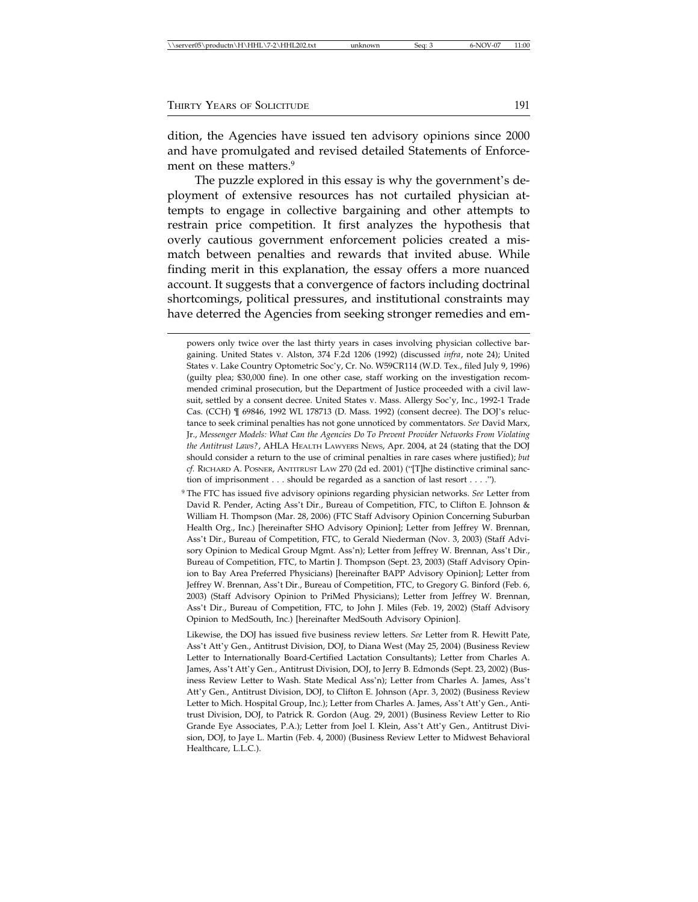dition, the Agencies have issued ten advisory opinions since 2000 and have promulgated and revised detailed Statements of Enforcement on these matters.<sup>9</sup>

The puzzle explored in this essay is why the government's deployment of extensive resources has not curtailed physician attempts to engage in collective bargaining and other attempts to restrain price competition. It first analyzes the hypothesis that overly cautious government enforcement policies created a mismatch between penalties and rewards that invited abuse. While finding merit in this explanation, the essay offers a more nuanced account. It suggests that a convergence of factors including doctrinal shortcomings, political pressures, and institutional constraints may have deterred the Agencies from seeking stronger remedies and em-

powers only twice over the last thirty years in cases involving physician collective bargaining. United States v. Alston, 374 F.2d 1206 (1992) (discussed *infra*, note 24); United States v. Lake Country Optometric Soc'y, Cr. No. W59CR114 (W.D. Tex., filed July 9, 1996) (guilty plea; \$30,000 fine). In one other case, staff working on the investigation recommended criminal prosecution, but the Department of Justice proceeded with a civil lawsuit, settled by a consent decree. United States v. Mass. Allergy Soc'y, Inc., 1992-1 Trade Cas. (CCH) ¶ 69846, 1992 WL 178713 (D. Mass. 1992) (consent decree). The DOJ's reluctance to seek criminal penalties has not gone unnoticed by commentators. *See* David Marx, Jr., *Messenger Models: What Can the Agencies Do To Prevent Provider Networks From Violating the Antitrust Laws?*, AHLA HEALTH LAWYERS NEWS, Apr. 2004, at 24 (stating that the DOJ should consider a return to the use of criminal penalties in rare cases where justified); *but cf.* RICHARD A. POSNER, ANTITRUST LAW 270 (2d ed. 2001) ("[T]he distinctive criminal sanction of imprisonment . . . should be regarded as a sanction of last resort . . . .").

<sup>9</sup> The FTC has issued five advisory opinions regarding physician networks. *See* Letter from David R. Pender, Acting Ass't Dir., Bureau of Competition, FTC, to Clifton E. Johnson & William H. Thompson (Mar. 28, 2006) (FTC Staff Advisory Opinion Concerning Suburban Health Org., Inc.) [hereinafter SHO Advisory Opinion]; Letter from Jeffrey W. Brennan, Ass't Dir., Bureau of Competition, FTC, to Gerald Niederman (Nov. 3, 2003) (Staff Advisory Opinion to Medical Group Mgmt. Ass'n); Letter from Jeffrey W. Brennan, Ass't Dir., Bureau of Competition, FTC, to Martin J. Thompson (Sept. 23, 2003) (Staff Advisory Opinion to Bay Area Preferred Physicians) [hereinafter BAPP Advisory Opinion]; Letter from Jeffrey W. Brennan, Ass't Dir., Bureau of Competition, FTC, to Gregory G. Binford (Feb. 6, 2003) (Staff Advisory Opinion to PriMed Physicians); Letter from Jeffrey W. Brennan, Ass't Dir., Bureau of Competition, FTC, to John J. Miles (Feb. 19, 2002) (Staff Advisory Opinion to MedSouth, Inc.) [hereinafter MedSouth Advisory Opinion].

Likewise, the DOJ has issued five business review letters. *See* Letter from R. Hewitt Pate, Ass't Att'y Gen., Antitrust Division, DOJ, to Diana West (May 25, 2004) (Business Review Letter to Internationally Board-Certified Lactation Consultants); Letter from Charles A. James, Ass't Att'y Gen., Antitrust Division, DOJ, to Jerry B. Edmonds (Sept. 23, 2002) (Business Review Letter to Wash. State Medical Ass'n); Letter from Charles A. James, Ass't Att'y Gen., Antitrust Division, DOJ, to Clifton E. Johnson (Apr. 3, 2002) (Business Review Letter to Mich. Hospital Group, Inc.); Letter from Charles A. James, Ass't Att'y Gen., Antitrust Division, DOJ, to Patrick R. Gordon (Aug. 29, 2001) (Business Review Letter to Rio Grande Eye Associates, P.A.); Letter from Joel I. Klein, Ass't Att'y Gen., Antitrust Division, DOJ, to Jaye L. Martin (Feb. 4, 2000) (Business Review Letter to Midwest Behavioral Healthcare, L.L.C.).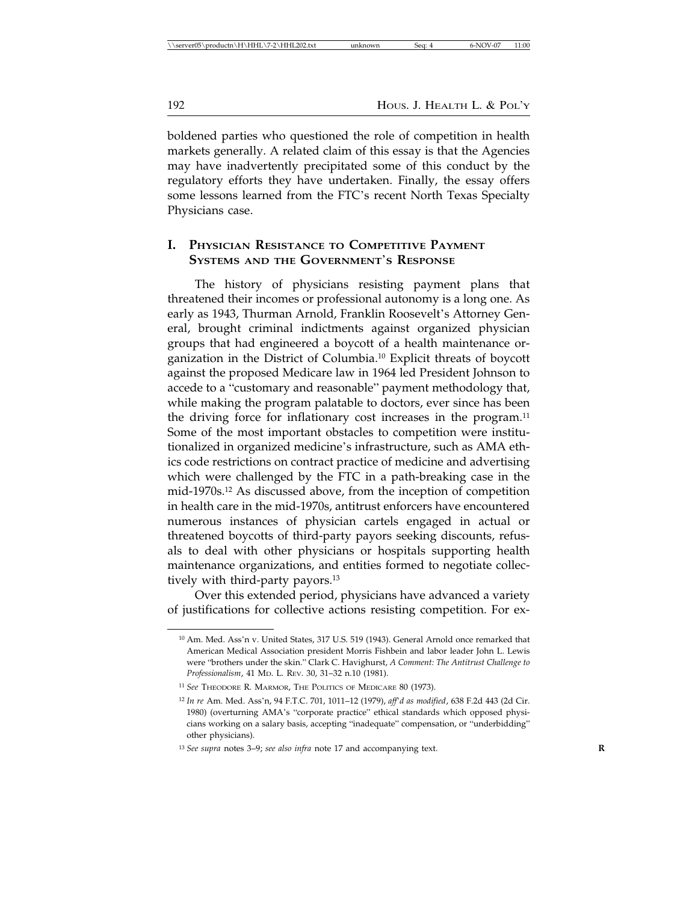boldened parties who questioned the role of competition in health markets generally. A related claim of this essay is that the Agencies may have inadvertently precipitated some of this conduct by the regulatory efforts they have undertaken. Finally, the essay offers some lessons learned from the FTC's recent North Texas Specialty Physicians case.

## **I. PHYSICIAN RESISTANCE TO COMPETITIVE PAYMENT SYSTEMS AND THE GOVERNMENT**'**S RESPONSE**

The history of physicians resisting payment plans that threatened their incomes or professional autonomy is a long one. As early as 1943, Thurman Arnold, Franklin Roosevelt's Attorney General, brought criminal indictments against organized physician groups that had engineered a boycott of a health maintenance organization in the District of Columbia.10 Explicit threats of boycott against the proposed Medicare law in 1964 led President Johnson to accede to a "customary and reasonable" payment methodology that, while making the program palatable to doctors, ever since has been the driving force for inflationary cost increases in the program.<sup>11</sup> Some of the most important obstacles to competition were institutionalized in organized medicine's infrastructure, such as AMA ethics code restrictions on contract practice of medicine and advertising which were challenged by the FTC in a path-breaking case in the mid-1970s.12 As discussed above, from the inception of competition in health care in the mid-1970s, antitrust enforcers have encountered numerous instances of physician cartels engaged in actual or threatened boycotts of third-party payors seeking discounts, refusals to deal with other physicians or hospitals supporting health maintenance organizations, and entities formed to negotiate collectively with third-party payors.<sup>13</sup>

Over this extended period, physicians have advanced a variety of justifications for collective actions resisting competition. For ex-

<sup>10</sup> Am. Med. Ass'n v. United States, 317 U.S. 519 (1943). General Arnold once remarked that American Medical Association president Morris Fishbein and labor leader John L. Lewis were "brothers under the skin." Clark C. Havighurst, *A Comment: The Antitrust Challenge to Professionalism*, 41 MD. L. REV. 30, 31–32 n.10 (1981).

<sup>11</sup> *See* THEODORE R. MARMOR, THE POLITICS OF MEDICARE 80 (1973).

<sup>12</sup> *In re* Am. Med. Ass'n, 94 F.T.C. 701, 1011–12 (1979), *aff*'*d as modified*, 638 F.2d 443 (2d Cir. 1980) (overturning AMA's "corporate practice" ethical standards which opposed physicians working on a salary basis, accepting "inadequate" compensation, or "underbidding" other physicians).

<sup>13</sup> *See supra* notes 3–9; *see also infra* note 17 and accompanying text. **R**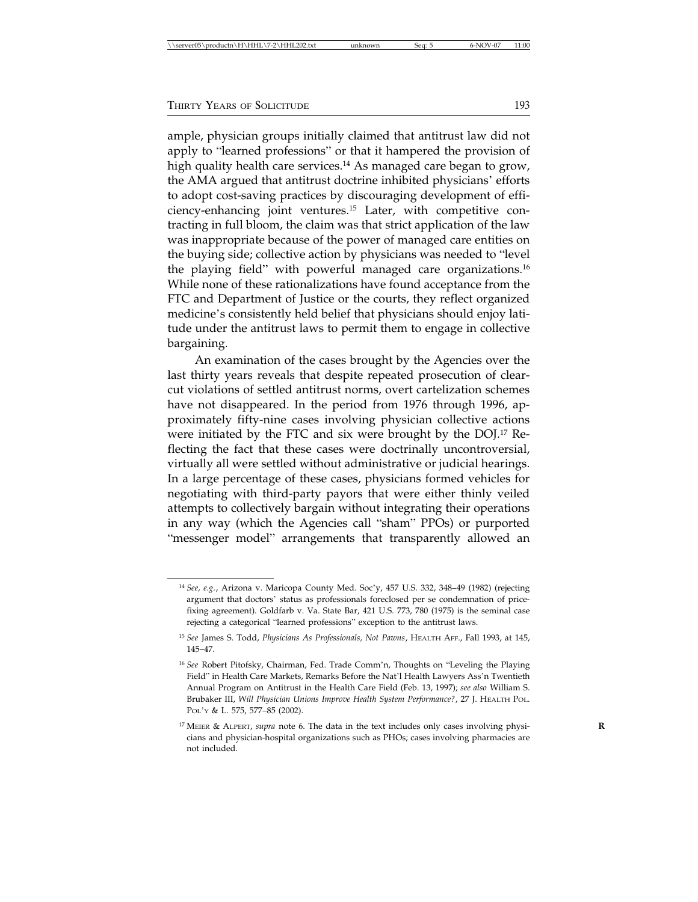ample, physician groups initially claimed that antitrust law did not apply to "learned professions" or that it hampered the provision of high quality health care services.<sup>14</sup> As managed care began to grow, the AMA argued that antitrust doctrine inhibited physicians' efforts to adopt cost-saving practices by discouraging development of efficiency-enhancing joint ventures.15 Later, with competitive contracting in full bloom, the claim was that strict application of the law was inappropriate because of the power of managed care entities on the buying side; collective action by physicians was needed to "level the playing field" with powerful managed care organizations.16 While none of these rationalizations have found acceptance from the FTC and Department of Justice or the courts, they reflect organized medicine's consistently held belief that physicians should enjoy latitude under the antitrust laws to permit them to engage in collective bargaining.

An examination of the cases brought by the Agencies over the last thirty years reveals that despite repeated prosecution of clearcut violations of settled antitrust norms, overt cartelization schemes have not disappeared. In the period from 1976 through 1996, approximately fifty-nine cases involving physician collective actions were initiated by the FTC and six were brought by the DOJ.17 Reflecting the fact that these cases were doctrinally uncontroversial, virtually all were settled without administrative or judicial hearings. In a large percentage of these cases, physicians formed vehicles for negotiating with third-party payors that were either thinly veiled attempts to collectively bargain without integrating their operations in any way (which the Agencies call "sham" PPOs) or purported "messenger model" arrangements that transparently allowed an

<sup>14</sup> *See, e.g.*, Arizona v. Maricopa County Med. Soc'y, 457 U.S. 332, 348–49 (1982) (rejecting argument that doctors' status as professionals foreclosed per se condemnation of pricefixing agreement). Goldfarb v. Va. State Bar, 421 U.S. 773, 780 (1975) is the seminal case rejecting a categorical "learned professions" exception to the antitrust laws.

<sup>15</sup> *See* James S. Todd, *Physicians As Professionals, Not Pawns*, HEALTH AFF., Fall 1993, at 145, 145–47.

<sup>16</sup> *See* Robert Pitofsky, Chairman, Fed. Trade Comm'n, Thoughts on "Leveling the Playing Field" in Health Care Markets, Remarks Before the Nat'l Health Lawyers Ass'n Twentieth Annual Program on Antitrust in the Health Care Field (Feb. 13, 1997); *see also* William S. Brubaker III, *Will Physician Unions Improve Health System Performance?*, 27 J. HEALTH POL. POL'Y & L. 575, 577–85 (2002).

<sup>17</sup> MEIER & ALPERT, *supra* note 6. The data in the text includes only cases involving physi- **R** cians and physician-hospital organizations such as PHOs; cases involving pharmacies are not included.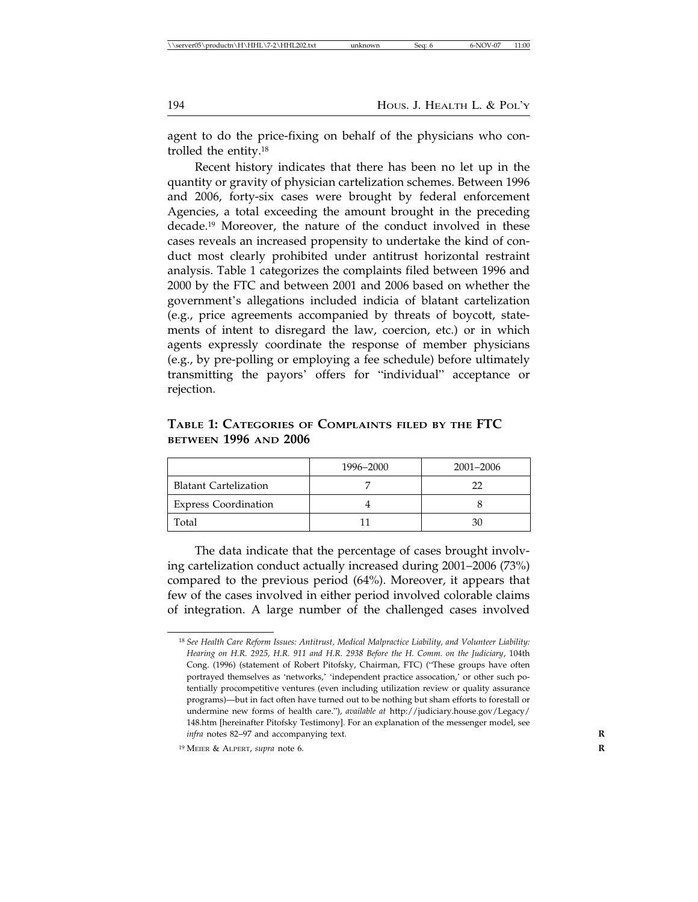agent to do the price-fixing on behalf of the physicians who controlled the entity.18

Recent history indicates that there has been no let up in the quantity or gravity of physician cartelization schemes. Between 1996 and 2006, forty-six cases were brought by federal enforcement Agencies, a total exceeding the amount brought in the preceding decade.19 Moreover, the nature of the conduct involved in these cases reveals an increased propensity to undertake the kind of conduct most clearly prohibited under antitrust horizontal restraint analysis. Table 1 categorizes the complaints filed between 1996 and 2000 by the FTC and between 2001 and 2006 based on whether the government's allegations included indicia of blatant cartelization (e.g., price agreements accompanied by threats of boycott, statements of intent to disregard the law, coercion, etc.) or in which agents expressly coordinate the response of member physicians (e.g., by pre-polling or employing a fee schedule) before ultimately transmitting the payors' offers for "individual" acceptance or rejection.

**BETWEEN 1996 AND 2006** 1996–2000 2001–2006

Blatant Cartelization 1 7 22

**TABLE 1: CATEGORIES OF COMPLAINTS FILED BY THE FTC**

| <b>Express Coordination</b>                                                                                                                                                                                                                                                                                                     |  |    |  |  |  |
|---------------------------------------------------------------------------------------------------------------------------------------------------------------------------------------------------------------------------------------------------------------------------------------------------------------------------------|--|----|--|--|--|
| Total                                                                                                                                                                                                                                                                                                                           |  | 30 |  |  |  |
| The data indicate that the percentage of cases brought involv-<br>ing cartelization conduct actually increased during 2001-2006 (73%)                                                                                                                                                                                           |  |    |  |  |  |
| compared to the previous period (64%). Moreover, it appears that                                                                                                                                                                                                                                                                |  |    |  |  |  |
| $\mathcal{L}$ , $\mathcal{L}$ , $\mathcal{L}$ , $\mathcal{L}$ , $\mathcal{L}$ , $\mathcal{L}$ , $\mathcal{L}$ , $\mathcal{L}$ , $\mathcal{L}$ , $\mathcal{L}$ , $\mathcal{L}$ , $\mathcal{L}$ , $\mathcal{L}$ , $\mathcal{L}$ , $\mathcal{L}$ , $\mathcal{L}$ , $\mathcal{L}$ , $\mathcal{L}$ , $\mathcal{L}$ , $\mathcal{L}$ , |  |    |  |  |  |

few of the cases involved in either period involved colorable claims of integration. A large number of the challenged cases involved

<sup>18</sup> *See Health Care Reform Issues: Antitrust, Medical Malpractice Liability, and Volunteer Liability: Hearing on H.R. 2925, H.R. 911 and H.R. 2938 Before the H. Comm. on the Judiciary*, 104th Cong. (1996) (statement of Robert Pitofsky, Chairman, FTC) ("These groups have often portrayed themselves as 'networks,' 'independent practice assocation,' or other such potentially procompetitive ventures (even including utilization review or quality assurance programs)—but in fact often have turned out to be nothing but sham efforts to forestall or undermine new forms of health care."), *available at* http://judiciary.house.gov/Legacy/ 148.htm [hereinafter Pitofsky Testimony]. For an explanation of the messenger model, see *infra* notes 82–97 and accompanying text. **R**

<sup>19</sup> MEIER & ALPERT, *supra* note 6. **R**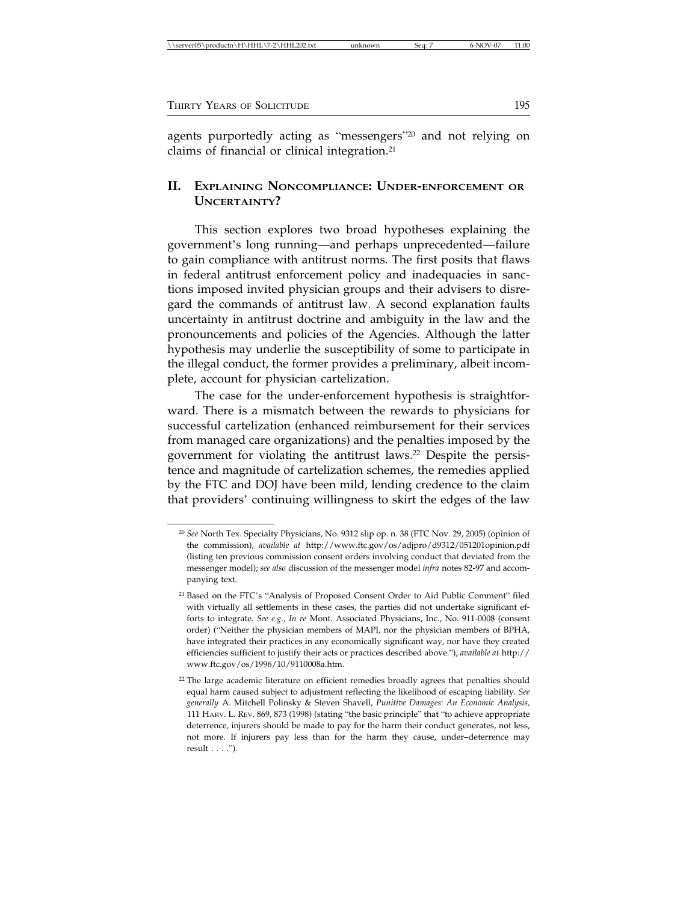| \\server05\productn\H\HHL\7-2\HHL202.txt<br>11:00<br>6-NOV-07<br>Sea:<br>unknown |
|----------------------------------------------------------------------------------|
|----------------------------------------------------------------------------------|

agents purportedly acting as "messengers"20 and not relying on claims of financial or clinical integration.<sup>21</sup>

# **II. EXPLAINING NONCOMPLIANCE: UNDER-ENFORCEMENT OR UNCERTAINTY?**

This section explores two broad hypotheses explaining the government's long running—and perhaps unprecedented—failure to gain compliance with antitrust norms. The first posits that flaws in federal antitrust enforcement policy and inadequacies in sanctions imposed invited physician groups and their advisers to disregard the commands of antitrust law. A second explanation faults uncertainty in antitrust doctrine and ambiguity in the law and the pronouncements and policies of the Agencies. Although the latter hypothesis may underlie the susceptibility of some to participate in the illegal conduct, the former provides a preliminary, albeit incomplete, account for physician cartelization.

The case for the under-enforcement hypothesis is straightforward. There is a mismatch between the rewards to physicians for successful cartelization (enhanced reimbursement for their services from managed care organizations) and the penalties imposed by the government for violating the antitrust laws.22 Despite the persistence and magnitude of cartelization schemes, the remedies applied by the FTC and DOJ have been mild, lending credence to the claim that providers' continuing willingness to skirt the edges of the law

<sup>20</sup> *See* North Tex. Specialty Physicians, No. 9312 slip op. n. 38 (FTC Nov. 29, 2005) (opinion of the commission), *available at* http://www.ftc.gov/os/adjpro/d9312/051201opinion.pdf (listing ten previous commission consent orders involving conduct that deviated from the messenger model); *see also* discussion of the messenger model *infra* notes 82-97 and accompanying text.

<sup>21</sup> Based on the FTC's "Analysis of Proposed Consent Order to Aid Public Comment" filed with virtually all settlements in these cases, the parties did not undertake significant efforts to integrate. *See e.g., In re* Mont. Associated Physicians, Inc., No. 911-0008 (consent order) ("Neither the physician members of MAPI, nor the physician members of BPHA, have integrated their practices in any economically significant way, nor have they created efficiencies sufficient to justify their acts or practices described above."), *available at* http:// www.ftc.gov/os/1996/10/9110008a.htm.

<sup>&</sup>lt;sup>22</sup> The large academic literature on efficient remedies broadly agrees that penalties should equal harm caused subject to adjustment reflecting the likelihood of escaping liability. *See generally* A. Mitchell Polinsky & Steven Shavell, *Punitive Damages: An Economic Analysis,* 111 HARV. L. REV. 869, 873 (1998) (stating "the basic principle" that "to achieve appropriate deterrence, injurers should be made to pay for the harm their conduct generates, not less, not more. If injurers pay less than for the harm they cause, under–deterrence may result . . . .").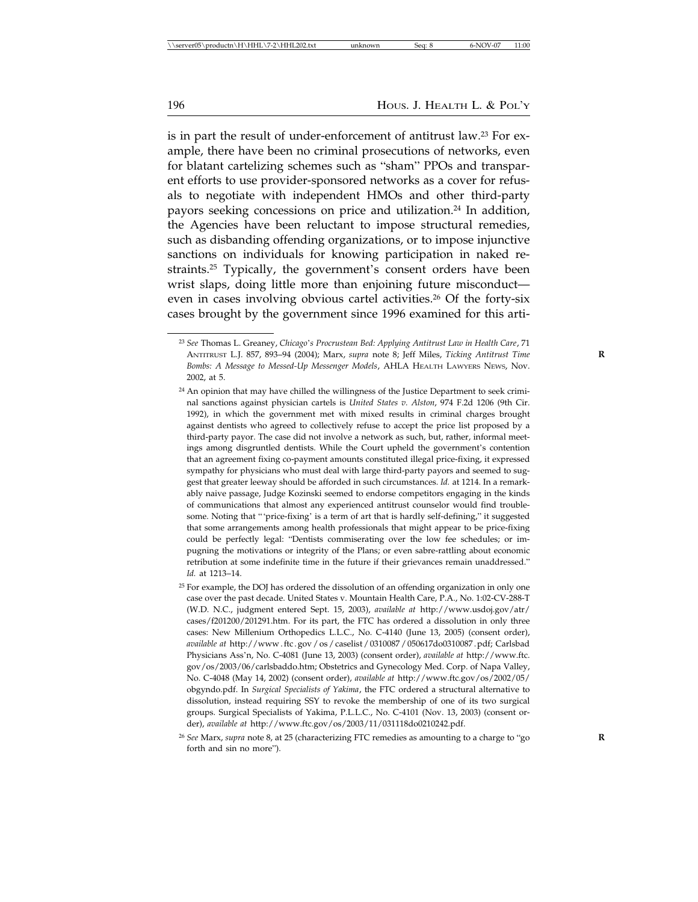is in part the result of under-enforcement of antitrust law.<sup>23</sup> For example, there have been no criminal prosecutions of networks, even for blatant cartelizing schemes such as "sham" PPOs and transparent efforts to use provider-sponsored networks as a cover for refusals to negotiate with independent HMOs and other third-party payors seeking concessions on price and utilization.<sup>24</sup> In addition, the Agencies have been reluctant to impose structural remedies, such as disbanding offending organizations, or to impose injunctive sanctions on individuals for knowing participation in naked restraints.<sup>25</sup> Typically, the government's consent orders have been wrist slaps, doing little more than enjoining future misconduct even in cases involving obvious cartel activities.<sup>26</sup> Of the forty-six cases brought by the government since 1996 examined for this arti-

<sup>23</sup> *See* Thomas L. Greaney, *Chicago*'*s Procrustean Bed: Applying Antitrust Law in Health Care*, 71 ANTITRUST L.J. 857, 893–94 (2004); Marx, *supra* note 8; Jeff Miles, *Ticking Antitrust Time* **R** *Bombs: A Message to Messed-Up Messenger Models*, AHLA HEALTH LAWYERS NEWS, Nov. 2002, at 5.

 $24$  An opinion that may have chilled the willingness of the Justice Department to seek criminal sanctions against physician cartels is *United States v. Alston*, 974 F.2d 1206 (9th Cir. 1992), in which the government met with mixed results in criminal charges brought against dentists who agreed to collectively refuse to accept the price list proposed by a third-party payor. The case did not involve a network as such, but, rather, informal meetings among disgruntled dentists. While the Court upheld the government's contention that an agreement fixing co-payment amounts constituted illegal price-fixing, it expressed sympathy for physicians who must deal with large third-party payors and seemed to suggest that greater leeway should be afforded in such circumstances. *Id.* at 1214. In a remarkably naive passage, Judge Kozinski seemed to endorse competitors engaging in the kinds of communications that almost any experienced antitrust counselor would find troublesome. Noting that "'price-fixing' is a term of art that is hardly self-defining," it suggested that some arrangements among health professionals that might appear to be price-fixing could be perfectly legal: "Dentists commiserating over the low fee schedules; or impugning the motivations or integrity of the Plans; or even sabre-rattling about economic retribution at some indefinite time in the future if their grievances remain unaddressed." *Id.* at 1213–14.

<sup>25</sup> For example, the DOJ has ordered the dissolution of an offending organization in only one case over the past decade. United States v. Mountain Health Care, P.A., No. 1:02-CV-288-T (W.D. N.C., judgment entered Sept. 15, 2003), *available at* http://www.usdoj.gov/atr/ cases/f201200/201291.htm. For its part, the FTC has ordered a dissolution in only three cases: New Millenium Orthopedics L.L.C., No. C-4140 (June 13, 2005) (consent order), *available at* http://www . ftc . gov / os / caselist / 0310087 / 050617do0310087 . pdf; Carlsbad Physicians Ass'n, No. C-4081 (June 13, 2003) (consent order), *available at* http://www.ftc. gov/os/2003/06/carlsbaddo.htm; Obstetrics and Gynecology Med. Corp. of Napa Valley, No. C-4048 (May 14, 2002) (consent order), *available at* http://www.ftc.gov/os/2002/05/ obgyndo.pdf. In *Surgical Specialists of Yakima*, the FTC ordered a structural alternative to dissolution, instead requiring SSY to revoke the membership of one of its two surgical groups. Surgical Specialists of Yakima, P.L.L.C., No. C-4101 (Nov. 13, 2003) (consent order), *available at* http://www.ftc.gov/os/2003/11/031118do0210242.pdf.

<sup>26</sup> *See* Marx, *supra* note 8, at 25 (characterizing FTC remedies as amounting to a charge to "go **R** forth and sin no more").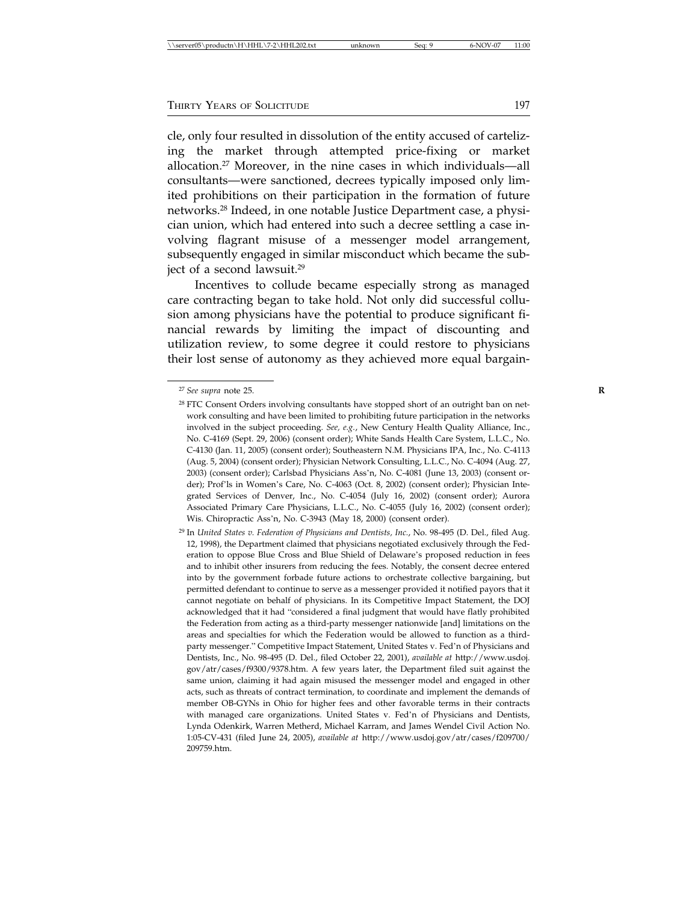cle, only four resulted in dissolution of the entity accused of cartelizing the market through attempted price-fixing or market allocation.27 Moreover, in the nine cases in which individuals—all consultants—were sanctioned, decrees typically imposed only limited prohibitions on their participation in the formation of future networks.28 Indeed, in one notable Justice Department case, a physician union, which had entered into such a decree settling a case involving flagrant misuse of a messenger model arrangement, subsequently engaged in similar misconduct which became the subject of a second lawsuit.<sup>29</sup>

Incentives to collude became especially strong as managed care contracting began to take hold. Not only did successful collusion among physicians have the potential to produce significant financial rewards by limiting the impact of discounting and utilization review, to some degree it could restore to physicians their lost sense of autonomy as they achieved more equal bargain-

<sup>27</sup> *See supra* note 25. **R**

<sup>&</sup>lt;sup>28</sup> FTC Consent Orders involving consultants have stopped short of an outright ban on network consulting and have been limited to prohibiting future participation in the networks involved in the subject proceeding. *See, e.g.*, New Century Health Quality Alliance, Inc., No. C-4169 (Sept. 29, 2006) (consent order); White Sands Health Care System, L.L.C., No. C-4130 (Jan. 11, 2005) (consent order); Southeastern N.M. Physicians IPA, Inc., No. C-4113 (Aug. 5, 2004) (consent order); Physician Network Consulting, L.L.C., No. C-4094 (Aug. 27, 2003) (consent order); Carlsbad Physicians Ass'n, No. C-4081 (June 13, 2003) (consent order); Prof'ls in Women's Care, No. C-4063 (Oct. 8, 2002) (consent order); Physician Integrated Services of Denver, Inc., No. C-4054 (July 16, 2002) (consent order); Aurora Associated Primary Care Physicians, L.L.C., No. C-4055 (July 16, 2002) (consent order); Wis. Chiropractic Ass'n, No. C-3943 (May 18, 2000) (consent order).

<sup>29</sup> In *United States v. Federation of Physicians and Dentists, Inc.*, No. 98-495 (D. Del., filed Aug. 12, 1998), the Department claimed that physicians negotiated exclusively through the Federation to oppose Blue Cross and Blue Shield of Delaware's proposed reduction in fees and to inhibit other insurers from reducing the fees. Notably, the consent decree entered into by the government forbade future actions to orchestrate collective bargaining, but permitted defendant to continue to serve as a messenger provided it notified payors that it cannot negotiate on behalf of physicians. In its Competitive Impact Statement, the DOJ acknowledged that it had "considered a final judgment that would have flatly prohibited the Federation from acting as a third-party messenger nationwide [and] limitations on the areas and specialties for which the Federation would be allowed to function as a thirdparty messenger." Competitive Impact Statement, United States v. Fed'n of Physicians and Dentists, Inc., No. 98-495 (D. Del., filed October 22, 2001), *available at* http://www.usdoj. gov/atr/cases/f9300/9378.htm. A few years later, the Department filed suit against the same union, claiming it had again misused the messenger model and engaged in other acts, such as threats of contract termination, to coordinate and implement the demands of member OB-GYNs in Ohio for higher fees and other favorable terms in their contracts with managed care organizations. United States v. Fed'n of Physicians and Dentists, Lynda Odenkirk, Warren Metherd, Michael Karram, and James Wendel Civil Action No. 1:05-CV-431 (filed June 24, 2005), *available at* http://www.usdoj.gov/atr/cases/f209700/ 209759.htm.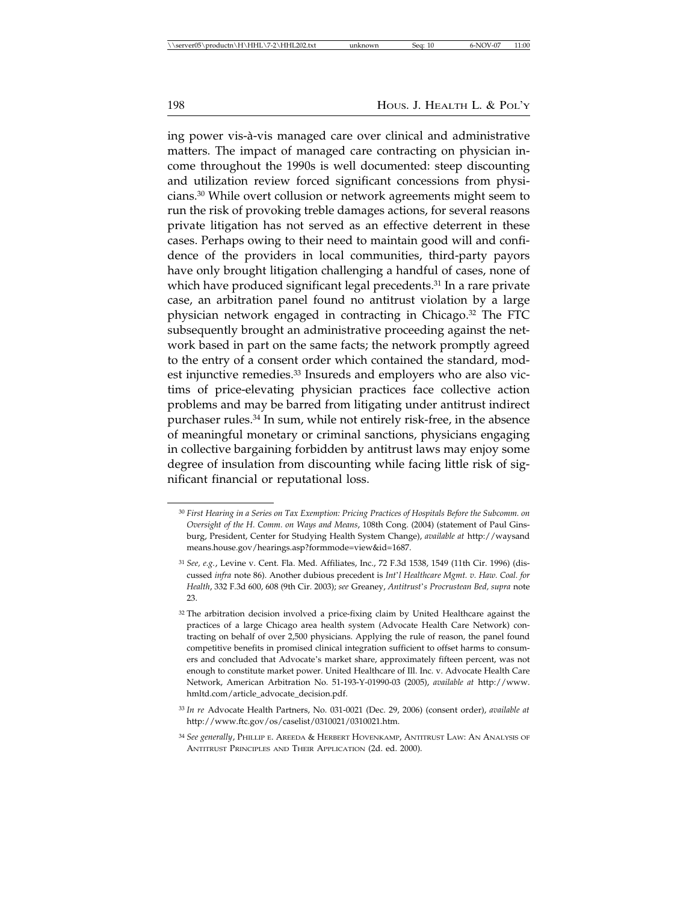ing power vis-à-vis managed care over clinical and administrative matters. The impact of managed care contracting on physician income throughout the 1990s is well documented: steep discounting and utilization review forced significant concessions from physicians.30 While overt collusion or network agreements might seem to run the risk of provoking treble damages actions, for several reasons private litigation has not served as an effective deterrent in these cases. Perhaps owing to their need to maintain good will and confidence of the providers in local communities, third-party payors have only brought litigation challenging a handful of cases, none of which have produced significant legal precedents.<sup>31</sup> In a rare private case, an arbitration panel found no antitrust violation by a large physician network engaged in contracting in Chicago.32 The FTC subsequently brought an administrative proceeding against the network based in part on the same facts; the network promptly agreed to the entry of a consent order which contained the standard, modest injunctive remedies.<sup>33</sup> Insureds and employers who are also victims of price-elevating physician practices face collective action problems and may be barred from litigating under antitrust indirect purchaser rules.34 In sum, while not entirely risk-free, in the absence of meaningful monetary or criminal sanctions, physicians engaging in collective bargaining forbidden by antitrust laws may enjoy some degree of insulation from discounting while facing little risk of significant financial or reputational loss.

<sup>30</sup> *First Hearing in a Series on Tax Exemption: Pricing Practices of Hospitals Before the Subcomm. on Oversight of the H. Comm. on Ways and Means*, 108th Cong. (2004) (statement of Paul Ginsburg, President, Center for Studying Health System Change), *available at* http://waysand means.house.gov/hearings.asp?formmode=view&id=1687.

<sup>31</sup> *See, e.g.*, Levine v. Cent. Fla. Med. Affiliates, Inc., 72 F.3d 1538, 1549 (11th Cir. 1996) (discussed *infra* note 86). Another dubious precedent is *Int*'*l Healthcare Mgmt. v. Haw. Coal. for Health*, 332 F.3d 600, 608 (9th Cir. 2003); *see* Greaney, *Antitrust*'*s Procrustean Bed, supra* note 23.

<sup>32</sup> The arbitration decision involved a price-fixing claim by United Healthcare against the practices of a large Chicago area health system (Advocate Health Care Network) contracting on behalf of over 2,500 physicians. Applying the rule of reason, the panel found competitive benefits in promised clinical integration sufficient to offset harms to consumers and concluded that Advocate's market share, approximately fifteen percent, was not enough to constitute market power. United Healthcare of Ill. Inc. v. Advocate Health Care Network, American Arbitration No. 51-193-Y-01990-03 (2005), *available at* http://www. hmltd.com/article\_advocate\_decision.pdf.

<sup>33</sup> *In re* Advocate Health Partners, No. 031-0021 (Dec. 29, 2006) (consent order), *available at* http://www.ftc.gov/os/caselist/0310021/0310021.htm.

<sup>34</sup> *See generally*, PHILLIP E. AREEDA & HERBERT HOVENKAMP, ANTITRUST LAW: AN ANALYSIS OF ANTITRUST PRINCIPLES AND THEIR APPLICATION (2d. ed. 2000).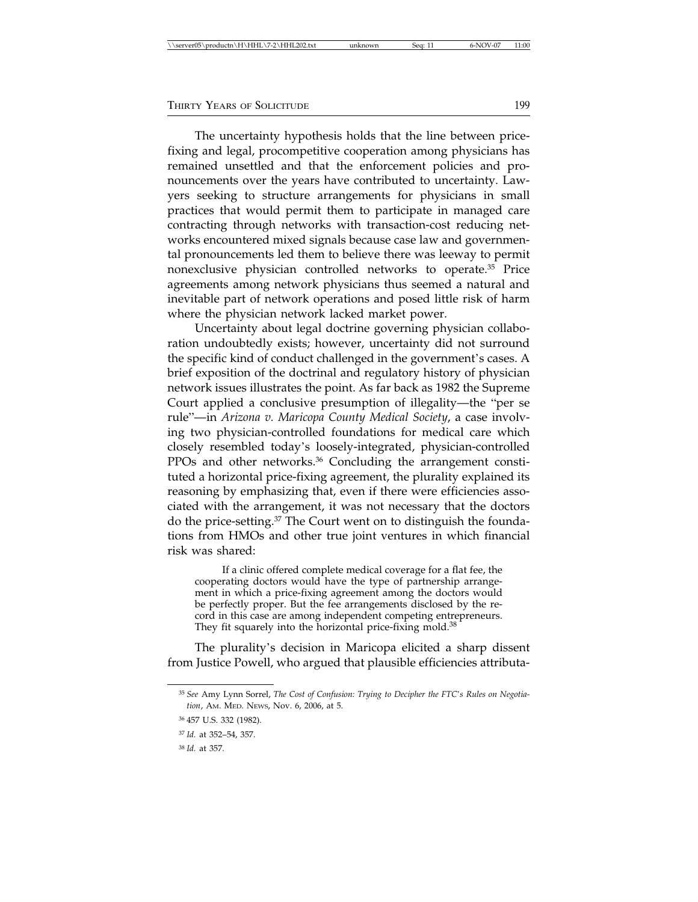|--|

The uncertainty hypothesis holds that the line between pricefixing and legal, procompetitive cooperation among physicians has remained unsettled and that the enforcement policies and pronouncements over the years have contributed to uncertainty. Lawyers seeking to structure arrangements for physicians in small practices that would permit them to participate in managed care contracting through networks with transaction-cost reducing networks encountered mixed signals because case law and governmental pronouncements led them to believe there was leeway to permit nonexclusive physician controlled networks to operate.35 Price agreements among network physicians thus seemed a natural and inevitable part of network operations and posed little risk of harm where the physician network lacked market power.

Uncertainty about legal doctrine governing physician collaboration undoubtedly exists; however, uncertainty did not surround the specific kind of conduct challenged in the government's cases. A brief exposition of the doctrinal and regulatory history of physician network issues illustrates the point. As far back as 1982 the Supreme Court applied a conclusive presumption of illegality—the "per se rule"—in *Arizona v. Maricopa County Medical Society*, a case involving two physician-controlled foundations for medical care which closely resembled today's loosely-integrated, physician-controlled PPOs and other networks.<sup>36</sup> Concluding the arrangement constituted a horizontal price-fixing agreement, the plurality explained its reasoning by emphasizing that, even if there were efficiencies associated with the arrangement, it was not necessary that the doctors do the price-setting.37 The Court went on to distinguish the foundations from HMOs and other true joint ventures in which financial risk was shared:

If a clinic offered complete medical coverage for a flat fee, the cooperating doctors would have the type of partnership arrangement in which a price-fixing agreement among the doctors would be perfectly proper. But the fee arrangements disclosed by the record in this case are among independent competing entrepreneurs. They fit squarely into the horizontal price-fixing mold.<sup>38</sup>

The plurality's decision in Maricopa elicited a sharp dissent from Justice Powell, who argued that plausible efficiencies attributa-

<sup>35</sup> *See* Amy Lynn Sorrel, *The Cost of Confusion: Trying to Decipher the FTC*'*s Rules on Negotiation*, AM. MED. NEWS, Nov. 6, 2006, at 5.

<sup>36</sup> 457 U.S. 332 (1982).

<sup>37</sup> *Id.* at 352–54, 357.

<sup>38</sup> *Id.* at 357.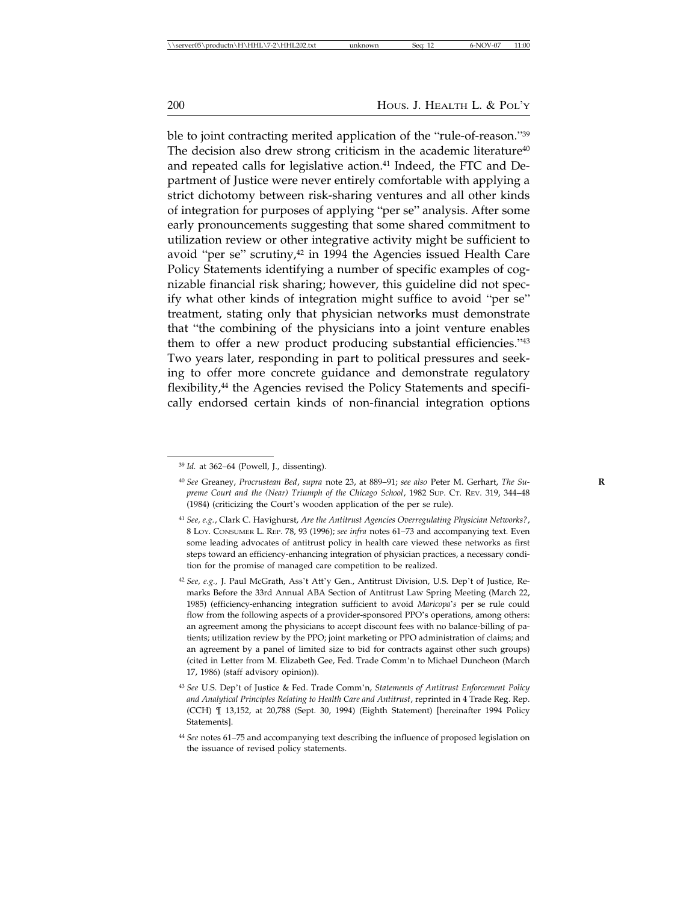ble to joint contracting merited application of the "rule-of-reason."<sup>39</sup> The decision also drew strong criticism in the academic literature $40$ and repeated calls for legislative action.<sup>41</sup> Indeed, the FTC and Department of Justice were never entirely comfortable with applying a strict dichotomy between risk-sharing ventures and all other kinds of integration for purposes of applying "per se" analysis. After some early pronouncements suggesting that some shared commitment to utilization review or other integrative activity might be sufficient to avoid "per se" scrutiny, $42$  in 1994 the Agencies issued Health Care Policy Statements identifying a number of specific examples of cognizable financial risk sharing; however, this guideline did not specify what other kinds of integration might suffice to avoid "per se" treatment, stating only that physician networks must demonstrate that "the combining of the physicians into a joint venture enables them to offer a new product producing substantial efficiencies."43 Two years later, responding in part to political pressures and seeking to offer more concrete guidance and demonstrate regulatory flexibility,<sup>44</sup> the Agencies revised the Policy Statements and specifically endorsed certain kinds of non-financial integration options

<sup>39</sup> *Id.* at 362–64 (Powell, J., dissenting).

<sup>40</sup> *See* Greaney, *Procrustean Bed*, *supra* note 23, at 889–91; *see also* Peter M. Gerhart, *The Su-* **R** *preme Court and the (Near) Triumph of the Chicago School*, 1982 SUP. CT. REV. 319, 344–48 (1984) (criticizing the Court's wooden application of the per se rule).

<sup>41</sup> *See, e.g.*, Clark C. Havighurst, *Are the Antitrust Agencies Overregulating Physician Networks?*, 8 LOY. CONSUMER L. REP. 78, 93 (1996); *see infra* notes 61–73 and accompanying text. Even some leading advocates of antitrust policy in health care viewed these networks as first steps toward an efficiency-enhancing integration of physician practices, a necessary condition for the promise of managed care competition to be realized.

<sup>42</sup> *See, e.g.,* J. Paul McGrath, Ass't Att'y Gen., Antitrust Division, U.S. Dep't of Justice, Remarks Before the 33rd Annual ABA Section of Antitrust Law Spring Meeting (March 22, 1985) (efficiency-enhancing integration sufficient to avoid *Maricopa*'*s* per se rule could flow from the following aspects of a provider-sponsored PPO's operations, among others: an agreement among the physicians to accept discount fees with no balance-billing of patients; utilization review by the PPO; joint marketing or PPO administration of claims; and an agreement by a panel of limited size to bid for contracts against other such groups) (cited in Letter from M. Elizabeth Gee, Fed. Trade Comm'n to Michael Duncheon (March 17, 1986) (staff advisory opinion)).

<sup>43</sup> *See* U.S. Dep't of Justice & Fed. Trade Comm'n, *Statements of Antitrust Enforcement Policy and Analytical Principles Relating to Health Care and Antitrust*, reprinted in 4 Trade Reg. Rep. (CCH) ¶ 13,152, at 20,788 (Sept. 30, 1994) (Eighth Statement) [hereinafter 1994 Policy Statements].

<sup>44</sup> *See* notes 61–75 and accompanying text describing the influence of proposed legislation on the issuance of revised policy statements.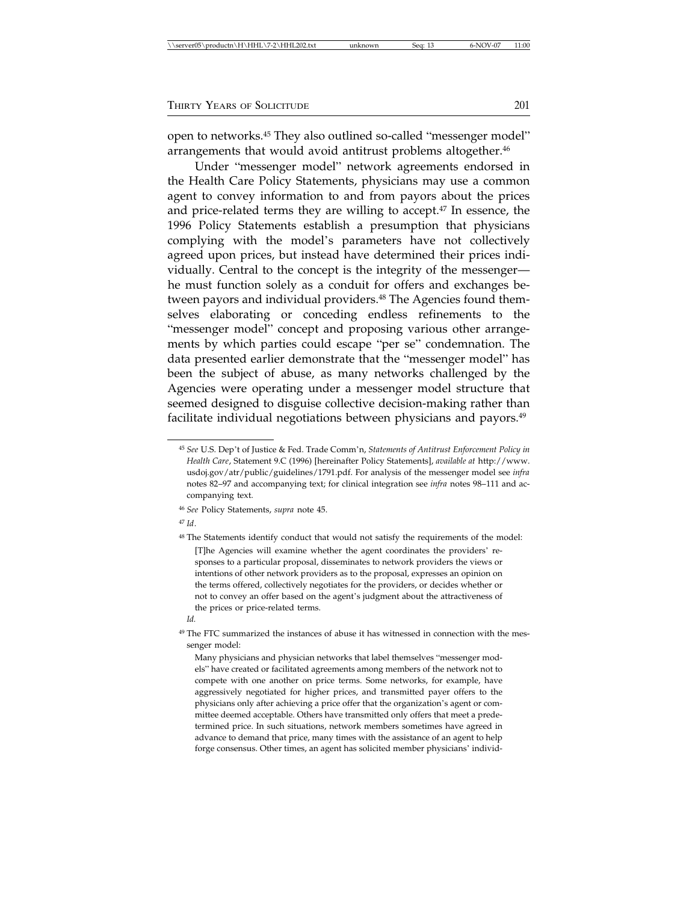| \\server05\productn\H\HHL\7-2\HHL202.txt | unknown | Sea: | 6-NOV-07 | 11:00 |
|------------------------------------------|---------|------|----------|-------|
|------------------------------------------|---------|------|----------|-------|

open to networks.45 They also outlined so-called "messenger model" arrangements that would avoid antitrust problems altogether.<sup>46</sup>

Under "messenger model" network agreements endorsed in the Health Care Policy Statements, physicians may use a common agent to convey information to and from payors about the prices and price-related terms they are willing to accept.<sup>47</sup> In essence, the 1996 Policy Statements establish a presumption that physicians complying with the model's parameters have not collectively agreed upon prices, but instead have determined their prices individually. Central to the concept is the integrity of the messenger he must function solely as a conduit for offers and exchanges between payors and individual providers.<sup>48</sup> The Agencies found themselves elaborating or conceding endless refinements to the "messenger model" concept and proposing various other arrangements by which parties could escape "per se" condemnation. The data presented earlier demonstrate that the "messenger model" has been the subject of abuse, as many networks challenged by the Agencies were operating under a messenger model structure that seemed designed to disguise collective decision-making rather than facilitate individual negotiations between physicians and payors.<sup>49</sup>

<sup>45</sup> *See* U.S. Dep't of Justice & Fed. Trade Comm'n, *Statements of Antitrust Enforcement Policy in Health Care*, Statement 9.C (1996) [hereinafter Policy Statements], *available at* http://www. usdoj.gov/atr/public/guidelines/1791.pdf. For analysis of the messenger model see *infra* notes 82–97 and accompanying text; for clinical integration see *infra* notes 98–111 and accompanying text.

<sup>46</sup> *See* Policy Statements, *supra* note 45.

<sup>47</sup> *Id*.

<sup>&</sup>lt;sup>48</sup> The Statements identify conduct that would not satisfy the requirements of the model: [T]he Agencies will examine whether the agent coordinates the providers' responses to a particular proposal, disseminates to network providers the views or intentions of other network providers as to the proposal, expresses an opinion on the terms offered, collectively negotiates for the providers, or decides whether or not to convey an offer based on the agent's judgment about the attractiveness of the prices or price-related terms.

*Id.*

<sup>&</sup>lt;sup>49</sup> The FTC summarized the instances of abuse it has witnessed in connection with the messenger model:

Many physicians and physician networks that label themselves "messenger models" have created or facilitated agreements among members of the network not to compete with one another on price terms. Some networks, for example, have aggressively negotiated for higher prices, and transmitted payer offers to the physicians only after achieving a price offer that the organization's agent or committee deemed acceptable. Others have transmitted only offers that meet a predetermined price. In such situations, network members sometimes have agreed in advance to demand that price, many times with the assistance of an agent to help forge consensus. Other times, an agent has solicited member physicians' individ-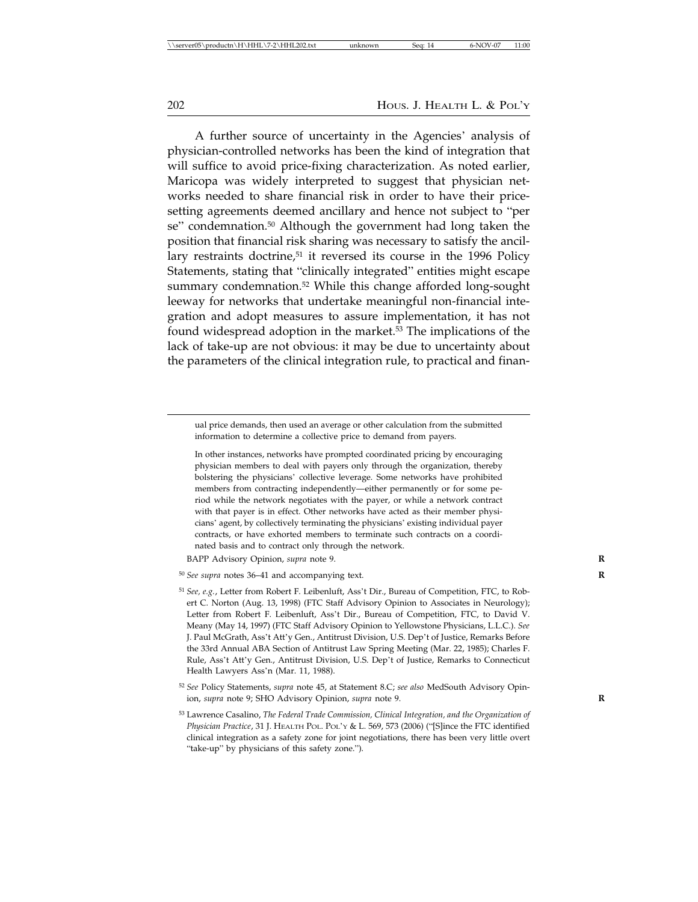A further source of uncertainty in the Agencies' analysis of physician-controlled networks has been the kind of integration that will suffice to avoid price-fixing characterization. As noted earlier, Maricopa was widely interpreted to suggest that physician networks needed to share financial risk in order to have their pricesetting agreements deemed ancillary and hence not subject to "per se" condemnation.<sup>50</sup> Although the government had long taken the position that financial risk sharing was necessary to satisfy the ancillary restraints doctrine,<sup>51</sup> it reversed its course in the 1996 Policy Statements, stating that "clinically integrated" entities might escape summary condemnation.<sup>52</sup> While this change afforded long-sought leeway for networks that undertake meaningful non-financial integration and adopt measures to assure implementation, it has not found widespread adoption in the market.<sup>53</sup> The implications of the lack of take-up are not obvious: it may be due to uncertainty about the parameters of the clinical integration rule, to practical and finan-

ual price demands, then used an average or other calculation from the submitted information to determine a collective price to demand from payers.

In other instances, networks have prompted coordinated pricing by encouraging physician members to deal with payers only through the organization, thereby bolstering the physicians' collective leverage. Some networks have prohibited members from contracting independently—either permanently or for some period while the network negotiates with the payer, or while a network contract with that payer is in effect. Other networks have acted as their member physicians' agent, by collectively terminating the physicians' existing individual payer contracts, or have exhorted members to terminate such contracts on a coordinated basis and to contract only through the network.

BAPP Advisory Opinion, *supra* note 9. **R**

<sup>50</sup> *See supra* notes 36–41 and accompanying text. **R**

<sup>51</sup> *See, e.g.*, Letter from Robert F. Leibenluft, Ass't Dir., Bureau of Competition, FTC, to Robert C. Norton (Aug. 13, 1998) (FTC Staff Advisory Opinion to Associates in Neurology); Letter from Robert F. Leibenluft, Ass't Dir., Bureau of Competition, FTC, to David V. Meany (May 14, 1997) (FTC Staff Advisory Opinion to Yellowstone Physicians, L.L.C.). *See* J. Paul McGrath, Ass't Att'y Gen., Antitrust Division, U.S. Dep't of Justice, Remarks Before the 33rd Annual ABA Section of Antitrust Law Spring Meeting (Mar. 22, 1985); Charles F. Rule, Ass't Att'y Gen., Antitrust Division, U.S. Dep't of Justice, Remarks to Connecticut Health Lawyers Ass'n (Mar. 11, 1988).

<sup>52</sup> *See* Policy Statements, *supra* note 45, at Statement 8.C; *see also* MedSouth Advisory Opinion, *supra* note 9; SHO Advisory Opinion, *supra* note 9. **R**

<sup>53</sup> Lawrence Casalino, *The Federal Trade Commission, Clinical Integration, and the Organization of Physician Practice*, 31 J. HEALTH POL. POL'Y & L. 569, 573 (2006) ("[S]ince the FTC identified clinical integration as a safety zone for joint negotiations, there has been very little overt "take-up" by physicians of this safety zone.").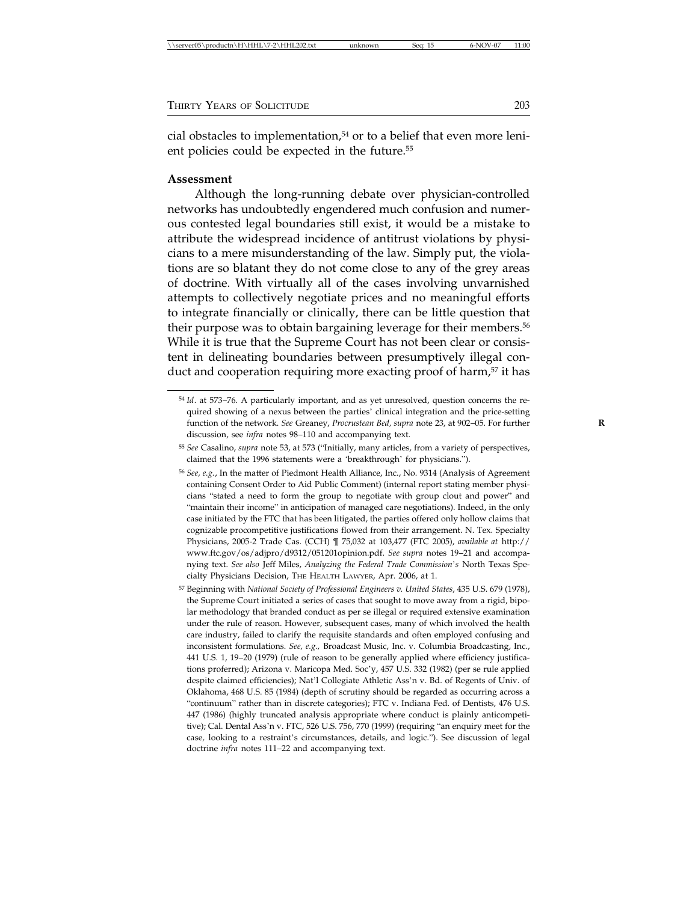| \\server05\productn\H\HHL\7-2\HHL202.txt | unknown | Sea: 15 | 6-NOV-07 | 11:00 |
|------------------------------------------|---------|---------|----------|-------|
|                                          |         |         |          |       |

cial obstacles to implementation,<sup>54</sup> or to a belief that even more lenient policies could be expected in the future.<sup>55</sup>

### **Assessment**

Although the long-running debate over physician-controlled networks has undoubtedly engendered much confusion and numerous contested legal boundaries still exist, it would be a mistake to attribute the widespread incidence of antitrust violations by physicians to a mere misunderstanding of the law. Simply put, the violations are so blatant they do not come close to any of the grey areas of doctrine. With virtually all of the cases involving unvarnished attempts to collectively negotiate prices and no meaningful efforts to integrate financially or clinically, there can be little question that their purpose was to obtain bargaining leverage for their members.<sup>56</sup> While it is true that the Supreme Court has not been clear or consistent in delineating boundaries between presumptively illegal conduct and cooperation requiring more exacting proof of harm,<sup>57</sup> it has

<sup>54</sup> *Id*. at 573–76. A particularly important, and as yet unresolved, question concerns the required showing of a nexus between the parties' clinical integration and the price-setting function of the network. *See* Greaney, *Procrustean Bed, supra* note 23, at 902–05. For further **R** discussion, see *infra* notes 98–110 and accompanying text.

<sup>55</sup> *See* Casalino, *supra* note 53, at 573 ("Initially, many articles, from a variety of perspectives, claimed that the 1996 statements were a 'breakthrough' for physicians.").

<sup>56</sup> *See, e.g.*, In the matter of Piedmont Health Alliance, Inc., No. 9314 (Analysis of Agreement containing Consent Order to Aid Public Comment) (internal report stating member physicians "stated a need to form the group to negotiate with group clout and power" and "maintain their income" in anticipation of managed care negotiations). Indeed, in the only case initiated by the FTC that has been litigated, the parties offered only hollow claims that cognizable procompetitive justifications flowed from their arrangement. N. Tex. Specialty Physicians, 2005-2 Trade Cas. (CCH) ¶ 75,032 at 103,477 (FTC 2005), *available at* http:// www.ftc.gov/os/adjpro/d9312/051201opinion.pdf. *See supra* notes 19–21 and accompanying text. *See also* Jeff Miles, *Analyzing the Federal Trade Commission*'*s* North Texas Specialty Physicians Decision, THE HEALTH LAWYER, Apr. 2006, at 1.

<sup>57</sup> Beginning with *National Society of Professional Engineers v. United States*, 435 U.S. 679 (1978), the Supreme Court initiated a series of cases that sought to move away from a rigid, bipolar methodology that branded conduct as per se illegal or required extensive examination under the rule of reason. However, subsequent cases, many of which involved the health care industry, failed to clarify the requisite standards and often employed confusing and inconsistent formulations. *See, e.g.,* Broadcast Music, Inc. v. Columbia Broadcasting, Inc., 441 U.S. 1, 19–20 (1979) (rule of reason to be generally applied where efficiency justifications proferred); Arizona v. Maricopa Med. Soc'y, 457 U.S. 332 (1982) (per se rule applied despite claimed efficiencies); Nat'l Collegiate Athletic Ass'n v. Bd. of Regents of Univ. of Oklahoma, 468 U.S. 85 (1984) (depth of scrutiny should be regarded as occurring across a "continuum" rather than in discrete categories); FTC v. Indiana Fed. of Dentists, 476 U.S. 447 (1986) (highly truncated analysis appropriate where conduct is plainly anticompetitive); Cal. Dental Ass'n v. FTC, 526 U.S. 756, 770 (1999) (requiring "an enquiry meet for the case*,* looking to a restraint's circumstances, details, and logic."). See discussion of legal doctrine *infra* notes 111–22 and accompanying text.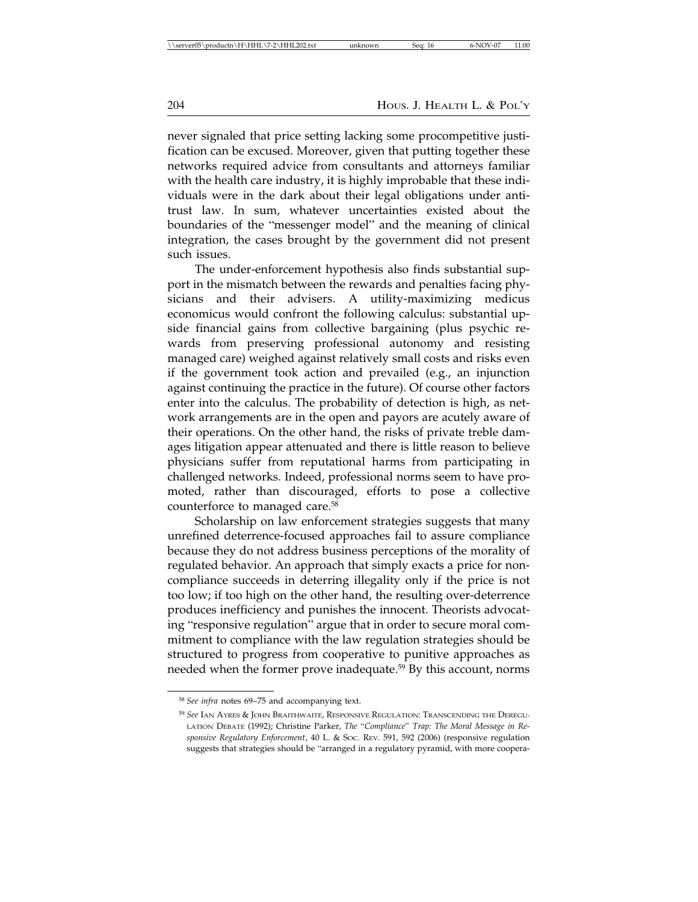never signaled that price setting lacking some procompetitive justification can be excused. Moreover, given that putting together these networks required advice from consultants and attorneys familiar with the health care industry, it is highly improbable that these individuals were in the dark about their legal obligations under antitrust law. In sum, whatever uncertainties existed about the boundaries of the "messenger model" and the meaning of clinical integration, the cases brought by the government did not present such issues.

The under-enforcement hypothesis also finds substantial support in the mismatch between the rewards and penalties facing physicians and their advisers. A utility-maximizing medicus economicus would confront the following calculus: substantial upside financial gains from collective bargaining (plus psychic rewards from preserving professional autonomy and resisting managed care) weighed against relatively small costs and risks even if the government took action and prevailed (e.g., an injunction against continuing the practice in the future). Of course other factors enter into the calculus. The probability of detection is high, as network arrangements are in the open and payors are acutely aware of their operations. On the other hand, the risks of private treble damages litigation appear attenuated and there is little reason to believe physicians suffer from reputational harms from participating in challenged networks. Indeed, professional norms seem to have promoted, rather than discouraged, efforts to pose a collective counterforce to managed care.58

Scholarship on law enforcement strategies suggests that many unrefined deterrence-focused approaches fail to assure compliance because they do not address business perceptions of the morality of regulated behavior. An approach that simply exacts a price for noncompliance succeeds in deterring illegality only if the price is not too low; if too high on the other hand, the resulting over-deterrence produces inefficiency and punishes the innocent. Theorists advocating "responsive regulation" argue that in order to secure moral commitment to compliance with the law regulation strategies should be structured to progress from cooperative to punitive approaches as needed when the former prove inadequate.<sup>59</sup> By this account, norms

<sup>58</sup> *See infra* notes 69–75 and accompanying text.

<sup>59</sup> *See* IAN AYRES & JOHN BRAITHWAITE, RESPONSIVE REGULATION: TRANSCENDING THE DEREGU-LATION DEBATE (1992); Christine Parker, *The* "*Compliance*" *Trap: The Moral Message in Responsive Regulatory Enforcement*, 40 L. & SOC. REV. 591, 592 (2006) (responsive regulation suggests that strategies should be "arranged in a regulatory pyramid, with more coopera-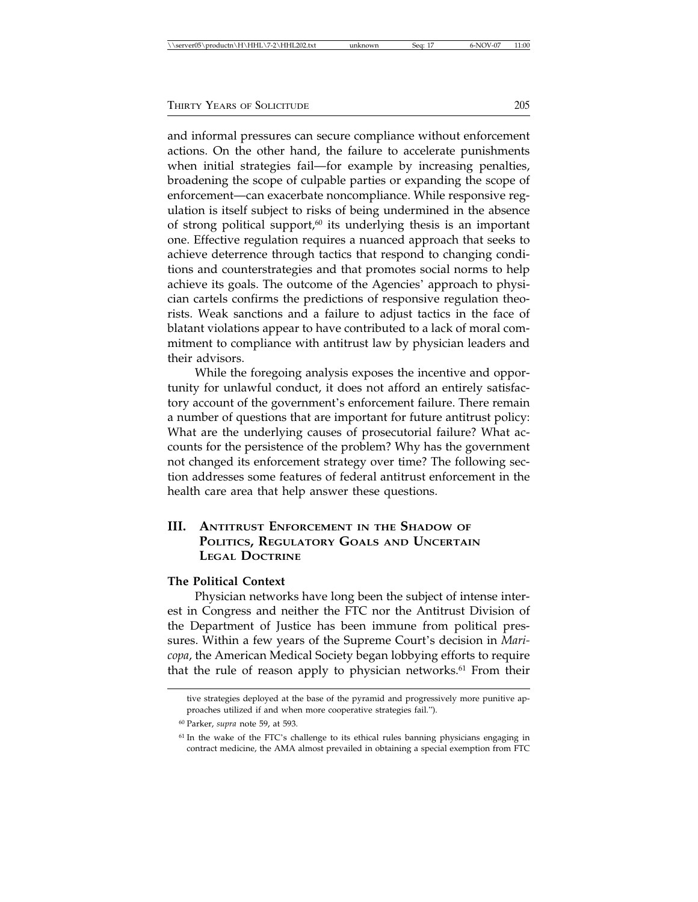and informal pressures can secure compliance without enforcement actions. On the other hand, the failure to accelerate punishments when initial strategies fail—for example by increasing penalties, broadening the scope of culpable parties or expanding the scope of enforcement—can exacerbate noncompliance. While responsive regulation is itself subject to risks of being undermined in the absence of strong political support, $60$  its underlying thesis is an important one. Effective regulation requires a nuanced approach that seeks to achieve deterrence through tactics that respond to changing conditions and counterstrategies and that promotes social norms to help achieve its goals. The outcome of the Agencies' approach to physician cartels confirms the predictions of responsive regulation theorists. Weak sanctions and a failure to adjust tactics in the face of blatant violations appear to have contributed to a lack of moral commitment to compliance with antitrust law by physician leaders and their advisors.

While the foregoing analysis exposes the incentive and opportunity for unlawful conduct, it does not afford an entirely satisfactory account of the government's enforcement failure. There remain a number of questions that are important for future antitrust policy: What are the underlying causes of prosecutorial failure? What accounts for the persistence of the problem? Why has the government not changed its enforcement strategy over time? The following section addresses some features of federal antitrust enforcement in the health care area that help answer these questions.

# **III. ANTITRUST ENFORCEMENT IN THE SHADOW OF POLITICS, REGULATORY GOALS AND UNCERTAIN LEGAL DOCTRINE**

### **The Political Context**

Physician networks have long been the subject of intense interest in Congress and neither the FTC nor the Antitrust Division of the Department of Justice has been immune from political pressures. Within a few years of the Supreme Court's decision in *Maricopa*, the American Medical Society began lobbying efforts to require that the rule of reason apply to physician networks.<sup>61</sup> From their

tive strategies deployed at the base of the pyramid and progressively more punitive approaches utilized if and when more cooperative strategies fail.").

<sup>60</sup> Parker, *supra* note 59, at 593.

<sup>61</sup> In the wake of the FTC's challenge to its ethical rules banning physicians engaging in contract medicine, the AMA almost prevailed in obtaining a special exemption from FTC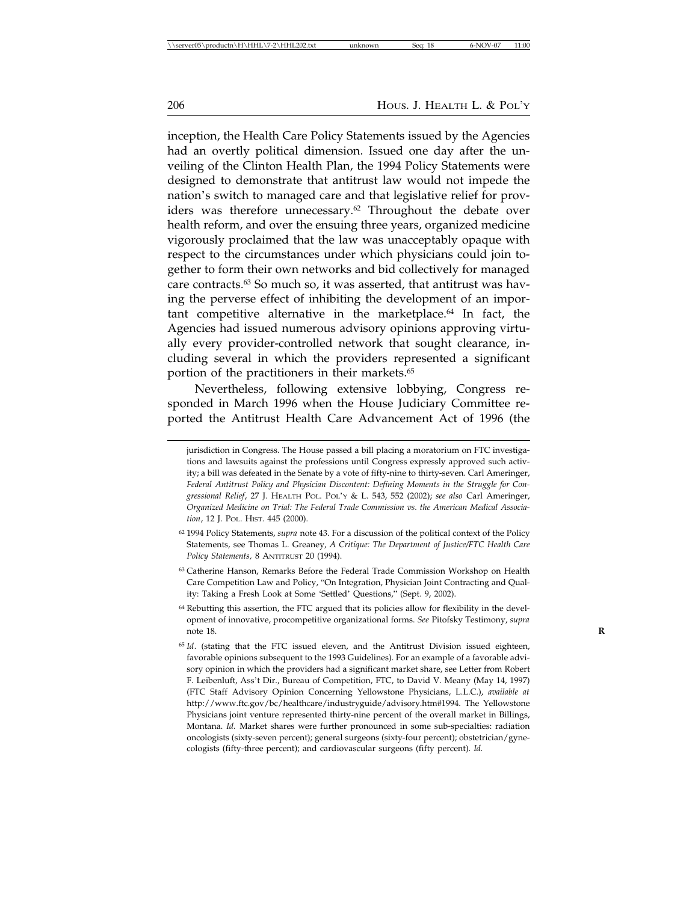inception, the Health Care Policy Statements issued by the Agencies had an overtly political dimension. Issued one day after the unveiling of the Clinton Health Plan, the 1994 Policy Statements were designed to demonstrate that antitrust law would not impede the nation's switch to managed care and that legislative relief for providers was therefore unnecessary.<sup>62</sup> Throughout the debate over health reform, and over the ensuing three years, organized medicine vigorously proclaimed that the law was unacceptably opaque with respect to the circumstances under which physicians could join together to form their own networks and bid collectively for managed care contracts.63 So much so, it was asserted, that antitrust was having the perverse effect of inhibiting the development of an important competitive alternative in the marketplace.64 In fact, the Agencies had issued numerous advisory opinions approving virtually every provider-controlled network that sought clearance, including several in which the providers represented a significant portion of the practitioners in their markets.<sup>65</sup>

Nevertheless, following extensive lobbying, Congress responded in March 1996 when the House Judiciary Committee reported the Antitrust Health Care Advancement Act of 1996 (the

jurisdiction in Congress. The House passed a bill placing a moratorium on FTC investigations and lawsuits against the professions until Congress expressly approved such activity; a bill was defeated in the Senate by a vote of fifty-nine to thirty-seven. Carl Ameringer, *Federal Antitrust Policy and Physician Discontent: Defining Moments in the Struggle for Congressional Relief*, 27 J. HEALTH POL. POL'Y & L. 543, 552 (2002); *see also* Carl Ameringer, *Organized Medicine on Trial: The Federal Trade Commission vs. the American Medical Association*, 12 J. POL. HIST. 445 (2000).

<sup>62</sup> 1994 Policy Statements, *supra* note 43. For a discussion of the political context of the Policy Statements, see Thomas L. Greaney, *A Critique: The Department of Justice/FTC Health Care Policy Statements,* 8 ANTITRUST 20 (1994).

<sup>63</sup> Catherine Hanson, Remarks Before the Federal Trade Commission Workshop on Health Care Competition Law and Policy, "On Integration, Physician Joint Contracting and Quality: Taking a Fresh Look at Some 'Settled' Questions," (Sept. 9, 2002).

<sup>64</sup> Rebutting this assertion, the FTC argued that its policies allow for flexibility in the development of innovative, procompetitive organizational forms. *See* Pitofsky Testimony, *supra* note 18. **R**

<sup>&</sup>lt;sup>65</sup> Id. (stating that the FTC issued eleven, and the Antitrust Division issued eighteen, favorable opinions subsequent to the 1993 Guidelines). For an example of a favorable advisory opinion in which the providers had a significant market share, see Letter from Robert F. Leibenluft, Ass't Dir., Bureau of Competition, FTC, to David V. Meany (May 14, 1997) (FTC Staff Advisory Opinion Concerning Yellowstone Physicians, L.L.C.), *available at* http://www.ftc.gov/bc/healthcare/industryguide/advisory.htm#1994. The Yellowstone Physicians joint venture represented thirty-nine percent of the overall market in Billings, Montana. *Id.* Market shares were further pronounced in some sub-specialties: radiation oncologists (sixty-seven percent); general surgeons (sixty-four percent); obstetrician/gynecologists (fifty-three percent); and cardiovascular surgeons (fifty percent). *Id.*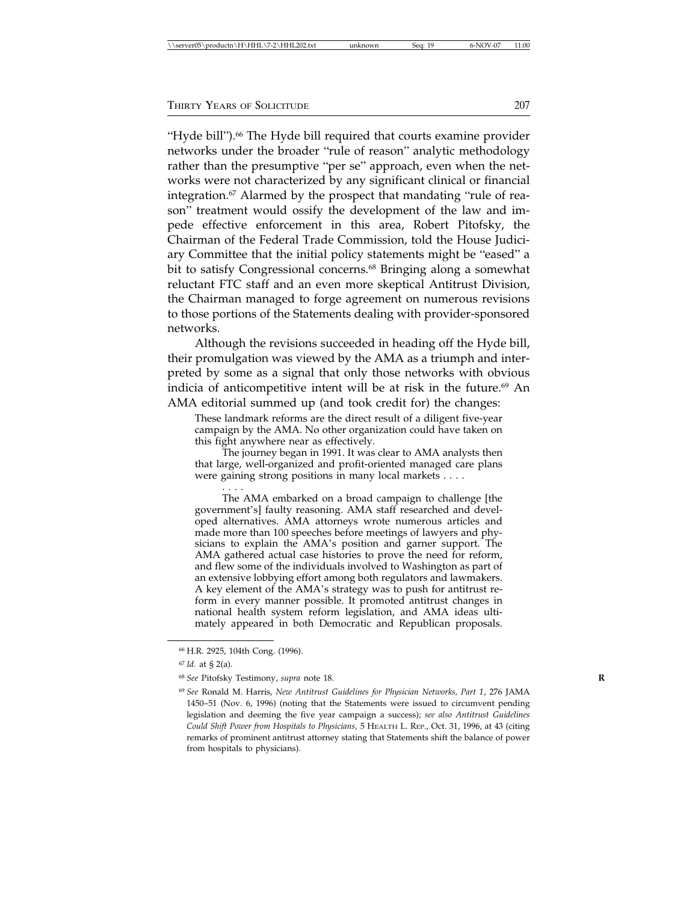"Hyde bill").<sup>66</sup> The Hyde bill required that courts examine provider networks under the broader "rule of reason" analytic methodology rather than the presumptive "per se" approach, even when the networks were not characterized by any significant clinical or financial integration.<sup>67</sup> Alarmed by the prospect that mandating "rule of reason" treatment would ossify the development of the law and impede effective enforcement in this area, Robert Pitofsky, the Chairman of the Federal Trade Commission, told the House Judiciary Committee that the initial policy statements might be "eased" a bit to satisfy Congressional concerns.<sup>68</sup> Bringing along a somewhat reluctant FTC staff and an even more skeptical Antitrust Division, the Chairman managed to forge agreement on numerous revisions to those portions of the Statements dealing with provider-sponsored networks.

Although the revisions succeeded in heading off the Hyde bill, their promulgation was viewed by the AMA as a triumph and interpreted by some as a signal that only those networks with obvious indicia of anticompetitive intent will be at risk in the future.<sup>69</sup> An AMA editorial summed up (and took credit for) the changes:

These landmark reforms are the direct result of a diligent five-year campaign by the AMA. No other organization could have taken on this fight anywhere near as effectively.

The journey began in 1991. It was clear to AMA analysts then that large, well-organized and profit-oriented managed care plans were gaining strong positions in many local markets . . . .

. . . . The AMA embarked on a broad campaign to challenge [the government's] faulty reasoning. AMA staff researched and developed alternatives. AMA attorneys wrote numerous articles and made more than 100 speeches before meetings of lawyers and physicians to explain the AMA's position and garner support. The AMA gathered actual case histories to prove the need for reform, and flew some of the individuals involved to Washington as part of an extensive lobbying effort among both regulators and lawmakers. A key element of the AMA's strategy was to push for antitrust reform in every manner possible. It promoted antitrust changes in national health system reform legislation, and AMA ideas ultimately appeared in both Democratic and Republican proposals.

<sup>66</sup> H.R. 2925, 104th Cong. (1996).

<sup>67</sup> *Id.* at § 2(a).

<sup>68</sup> *See* Pitofsky Testimony, *supra* note 18. **R**

<sup>69</sup> *See* Ronald M. Harris, *New Antitrust Guidelines for Physician Networks, Part 1*, 276 JAMA 1450–51 (Nov. 6, 1996) (noting that the Statements were issued to circumvent pending legislation and deeming the five year campaign a success); *see also Antitrust Guidelines Could Shift Power from Hospitals to Physicians,* 5 HEALTH L. REP., Oct. 31, 1996, at 43 (citing remarks of prominent antitrust attorney stating that Statements shift the balance of power from hospitals to physicians).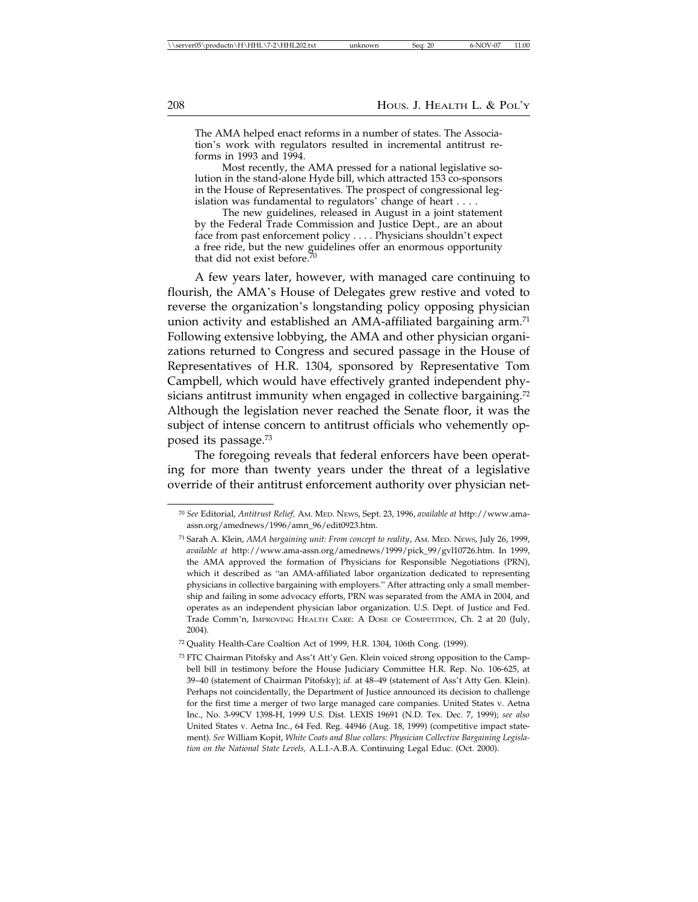The AMA helped enact reforms in a number of states. The Association's work with regulators resulted in incremental antitrust reforms in 1993 and 1994.

Most recently, the AMA pressed for a national legislative solution in the stand-alone Hyde bill, which attracted 153 co-sponsors in the House of Representatives. The prospect of congressional legislation was fundamental to regulators' change of heart . . . .

The new guidelines, released in August in a joint statement by the Federal Trade Commission and Justice Dept., are an about face from past enforcement policy . . . . Physicians shouldn't expect a free ride, but the new guidelines offer an enormous opportunity that did not exist before.<sup>7</sup>

A few years later, however, with managed care continuing to flourish, the AMA's House of Delegates grew restive and voted to reverse the organization's longstanding policy opposing physician union activity and established an AMA-affiliated bargaining arm.<sup>71</sup> Following extensive lobbying, the AMA and other physician organizations returned to Congress and secured passage in the House of Representatives of H.R. 1304, sponsored by Representative Tom Campbell, which would have effectively granted independent physicians antitrust immunity when engaged in collective bargaining.<sup>72</sup> Although the legislation never reached the Senate floor, it was the subject of intense concern to antitrust officials who vehemently opposed its passage.73

The foregoing reveals that federal enforcers have been operating for more than twenty years under the threat of a legislative override of their antitrust enforcement authority over physician net-

<sup>70</sup> *See* Editorial, *Antitrust Relief,* AM. MED. NEWS, Sept. 23, 1996, *available at* http://www.amaassn.org/amednews/1996/amn\_96/edit0923.htm.

<sup>71</sup> Sarah A. Klein, *AMA bargaining unit: From concept to reality*, AM. MED. NEWS, July 26, 1999, *available at* http://www.ama-assn.org/amednews/1999/pick\_99/gvl10726.htm. In 1999, the AMA approved the formation of Physicians for Responsible Negotiations (PRN), which it described as "an AMA-affiliated labor organization dedicated to representing physicians in collective bargaining with employers." After attracting only a small membership and failing in some advocacy efforts, PRN was separated from the AMA in 2004, and operates as an independent physician labor organization. U.S. Dept. of Justice and Fed. Trade Comm'n, IMPROVING HEALTH CARE: A DOSE OF COMPETITION, Ch. 2 at 20 (July, 2004).

<sup>72</sup> Quality Health-Care Coaltion Act of 1999, H.R. 1304, 106th Cong. (1999).

<sup>73</sup> FTC Chairman Pitofsky and Ass't Att'y Gen. Klein voiced strong opposition to the Campbell bill in testimony before the House Judiciary Committee H.R. Rep. No. 106-625, at 39–40 (statement of Chairman Pitofsky); *id.* at 48–49 (statement of Ass't Atty Gen. Klein). Perhaps not coincidentally, the Department of Justice announced its decision to challenge for the first time a merger of two large managed care companies. United States v. Aetna Inc., No. 3-99CV 1398-H, 1999 U.S. Dist. LEXIS 19691 (N.D. Tex. Dec. 7, 1999); *see also* United States v. Aetna Inc., 64 Fed. Reg. 44946 (Aug. 18, 1999) (competitive impact statement). *See* William Kopit, *White Coats and Blue collars: Physician Collective Bargaining Legislation on the National State Levels,* A.L.I.-A.B.A. Continuing Legal Educ. (Oct. 2000).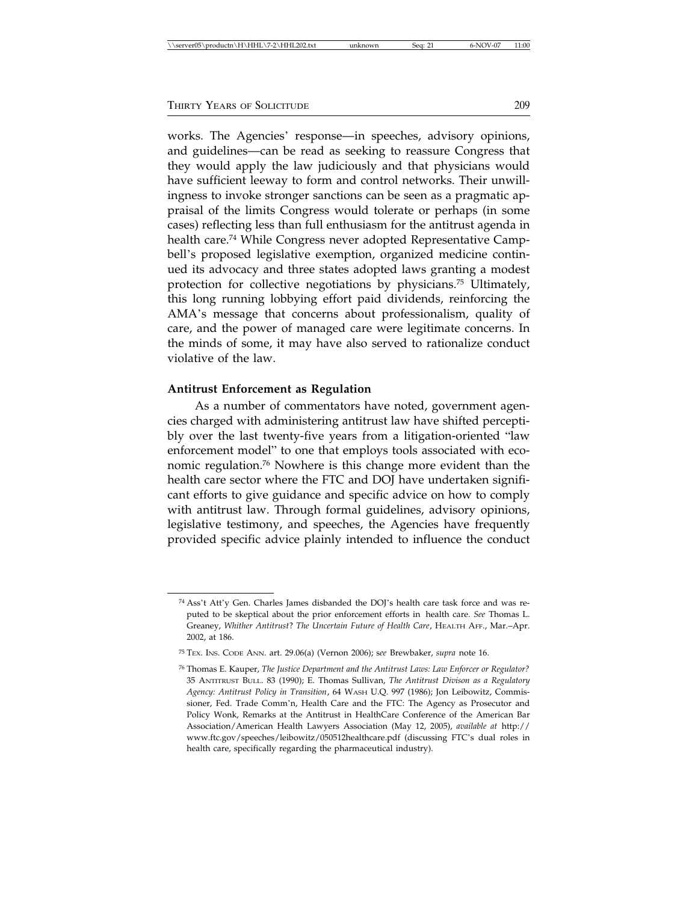works. The Agencies' response—in speeches, advisory opinions, and guidelines—can be read as seeking to reassure Congress that they would apply the law judiciously and that physicians would have sufficient leeway to form and control networks. Their unwillingness to invoke stronger sanctions can be seen as a pragmatic appraisal of the limits Congress would tolerate or perhaps (in some cases) reflecting less than full enthusiasm for the antitrust agenda in health care.<sup>74</sup> While Congress never adopted Representative Campbell's proposed legislative exemption, organized medicine continued its advocacy and three states adopted laws granting a modest protection for collective negotiations by physicians.75 Ultimately, this long running lobbying effort paid dividends, reinforcing the AMA's message that concerns about professionalism, quality of care, and the power of managed care were legitimate concerns. In the minds of some, it may have also served to rationalize conduct violative of the law.

### **Antitrust Enforcement as Regulation**

As a number of commentators have noted, government agencies charged with administering antitrust law have shifted perceptibly over the last twenty-five years from a litigation-oriented "law enforcement model" to one that employs tools associated with economic regulation.76 Nowhere is this change more evident than the health care sector where the FTC and DOJ have undertaken significant efforts to give guidance and specific advice on how to comply with antitrust law. Through formal guidelines, advisory opinions, legislative testimony, and speeches, the Agencies have frequently provided specific advice plainly intended to influence the conduct

<sup>74</sup> Ass't Att'y Gen. Charles James disbanded the DOJ's health care task force and was reputed to be skeptical about the prior enforcement efforts in health care. *See* Thomas L. Greaney, *Whither Antitrust*? *The Uncertain Future of Health Care*, HEALTH AFF., Mar.–Apr. 2002, at 186.

<sup>75</sup> TEX. INS. CODE ANN. art. 29.06(a) (Vernon 2006); s*ee* Brewbaker, *supra* note 16.

<sup>76</sup> Thomas E. Kauper, *The Justice Department and the Antitrust Laws: Law Enforcer or Regulator?* 35 ANTITRUST BULL. 83 (1990); E. Thomas Sullivan, *The Antitrust Divison as a Regulatory Agency: Antitrust Policy in Transition*, 64 WASH U.Q. 997 (1986); Jon Leibowitz, Commissioner, Fed. Trade Comm'n, Health Care and the FTC: The Agency as Prosecutor and Policy Wonk, Remarks at the Antitrust in HealthCare Conference of the American Bar Association/American Health Lawyers Association (May 12, 2005), *available at* http:// www.ftc.gov/speeches/leibowitz/050512healthcare.pdf (discussing FTC's dual roles in health care, specifically regarding the pharmaceutical industry).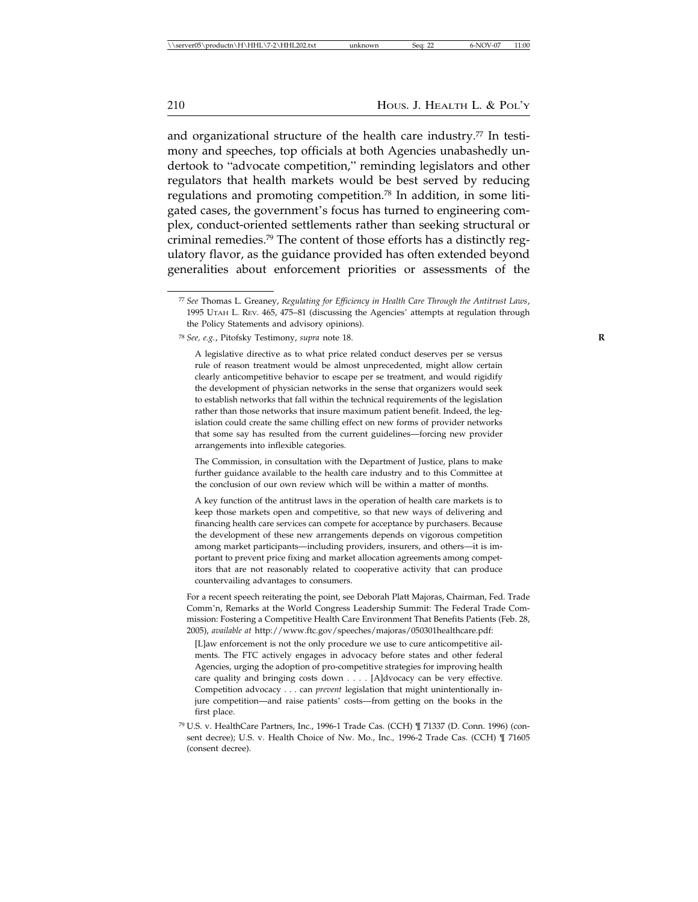210 Hous. J. Health L. & Pol'y

and organizational structure of the health care industry.<sup>77</sup> In testimony and speeches, top officials at both Agencies unabashedly undertook to "advocate competition," reminding legislators and other regulators that health markets would be best served by reducing regulations and promoting competition.78 In addition, in some litigated cases, the government's focus has turned to engineering complex, conduct-oriented settlements rather than seeking structural or criminal remedies.79 The content of those efforts has a distinctly regulatory flavor, as the guidance provided has often extended beyond generalities about enforcement priorities or assessments of the

The Commission, in consultation with the Department of Justice, plans to make further guidance available to the health care industry and to this Committee at the conclusion of our own review which will be within a matter of months.

A key function of the antitrust laws in the operation of health care markets is to keep those markets open and competitive, so that new ways of delivering and financing health care services can compete for acceptance by purchasers. Because the development of these new arrangements depends on vigorous competition among market participants—including providers, insurers, and others—it is important to prevent price fixing and market allocation agreements among competitors that are not reasonably related to cooperative activity that can produce countervailing advantages to consumers.

For a recent speech reiterating the point, see Deborah Platt Majoras, Chairman, Fed. Trade Comm'n, Remarks at the World Congress Leadership Summit: The Federal Trade Commission: Fostering a Competitive Health Care Environment That Benefits Patients (Feb. 28, 2005), *available at* http://www.ftc.gov/speeches/majoras/050301healthcare.pdf:

[L]aw enforcement is not the only procedure we use to cure anticompetitive ailments. The FTC actively engages in advocacy before states and other federal Agencies, urging the adoption of pro-competitive strategies for improving health care quality and bringing costs down . . . . [A]dvocacy can be very effective. Competition advocacy . . . can *prevent* legislation that might unintentionally injure competition—and raise patients' costs—from getting on the books in the first place.

<sup>79</sup> U.S. v. HealthCare Partners, Inc., 1996-1 Trade Cas. (CCH) ¶ 71337 (D. Conn. 1996) (consent decree); U.S. v. Health Choice of Nw. Mo., Inc.*,* 1996-2 Trade Cas. (CCH) ¶ 71605 (consent decree).

<sup>77</sup> *See* Thomas L. Greaney, *Regulating for Efficiency in Health Care Through the Antitrust Laws*, 1995 UTAH L. REV. 465, 475–81 (discussing the Agencies' attempts at regulation through the Policy Statements and advisory opinions).

<sup>78</sup> *See, e.g.*, Pitofsky Testimony, *supra* note 18. **R**

A legislative directive as to what price related conduct deserves per se versus rule of reason treatment would be almost unprecedented, might allow certain clearly anticompetitive behavior to escape per se treatment, and would rigidify the development of physician networks in the sense that organizers would seek to establish networks that fall within the technical requirements of the legislation rather than those networks that insure maximum patient benefit. Indeed, the legislation could create the same chilling effect on new forms of provider networks that some say has resulted from the current guidelines—forcing new provider arrangements into inflexible categories.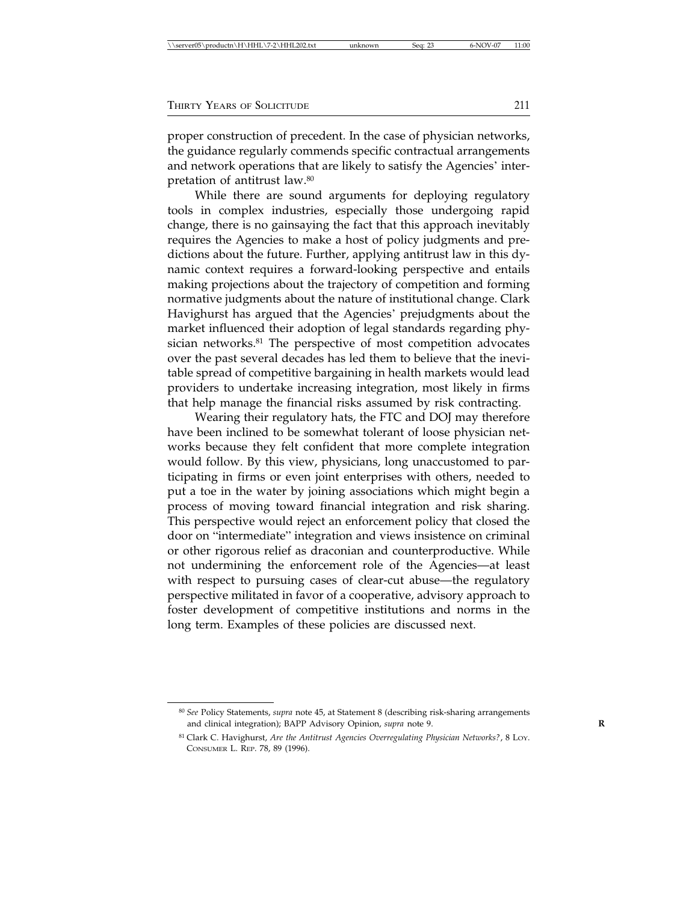| THIRTY YEARS OF SOLICITUDE |  |
|----------------------------|--|
|----------------------------|--|

proper construction of precedent. In the case of physician networks, the guidance regularly commends specific contractual arrangements and network operations that are likely to satisfy the Agencies' interpretation of antitrust law.80

While there are sound arguments for deploying regulatory tools in complex industries, especially those undergoing rapid change, there is no gainsaying the fact that this approach inevitably requires the Agencies to make a host of policy judgments and predictions about the future. Further, applying antitrust law in this dynamic context requires a forward-looking perspective and entails making projections about the trajectory of competition and forming normative judgments about the nature of institutional change. Clark Havighurst has argued that the Agencies' prejudgments about the market influenced their adoption of legal standards regarding physician networks.<sup>81</sup> The perspective of most competition advocates over the past several decades has led them to believe that the inevitable spread of competitive bargaining in health markets would lead providers to undertake increasing integration, most likely in firms that help manage the financial risks assumed by risk contracting.

Wearing their regulatory hats, the FTC and DOJ may therefore have been inclined to be somewhat tolerant of loose physician networks because they felt confident that more complete integration would follow. By this view, physicians, long unaccustomed to participating in firms or even joint enterprises with others, needed to put a toe in the water by joining associations which might begin a process of moving toward financial integration and risk sharing. This perspective would reject an enforcement policy that closed the door on "intermediate" integration and views insistence on criminal or other rigorous relief as draconian and counterproductive. While not undermining the enforcement role of the Agencies—at least with respect to pursuing cases of clear-cut abuse—the regulatory perspective militated in favor of a cooperative, advisory approach to foster development of competitive institutions and norms in the long term. Examples of these policies are discussed next.

<sup>80</sup> *See* Policy Statements, *supra* note 45, at Statement 8 (describing risk-sharing arrangements and clinical integration); BAPP Advisory Opinion, *supra* note 9. **R**

<sup>81</sup> Clark C. Havighurst, *Are the Antitrust Agencies Overregulating Physician Networks?*, 8 LOY. CONSUMER L. REP. 78, 89 (1996).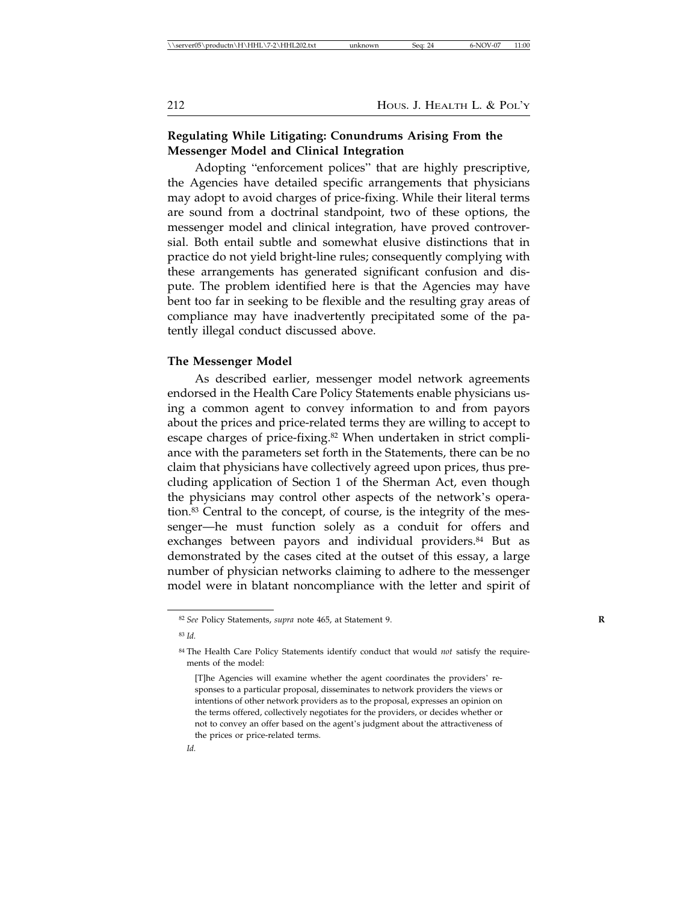### **Regulating While Litigating: Conundrums Arising From the Messenger Model and Clinical Integration**

Adopting "enforcement polices" that are highly prescriptive, the Agencies have detailed specific arrangements that physicians may adopt to avoid charges of price-fixing. While their literal terms are sound from a doctrinal standpoint, two of these options, the messenger model and clinical integration, have proved controversial. Both entail subtle and somewhat elusive distinctions that in practice do not yield bright-line rules; consequently complying with these arrangements has generated significant confusion and dispute. The problem identified here is that the Agencies may have bent too far in seeking to be flexible and the resulting gray areas of compliance may have inadvertently precipitated some of the patently illegal conduct discussed above.

### **The Messenger Model**

As described earlier, messenger model network agreements endorsed in the Health Care Policy Statements enable physicians using a common agent to convey information to and from payors about the prices and price-related terms they are willing to accept to escape charges of price-fixing.<sup>82</sup> When undertaken in strict compliance with the parameters set forth in the Statements, there can be no claim that physicians have collectively agreed upon prices, thus precluding application of Section 1 of the Sherman Act, even though the physicians may control other aspects of the network's operation.<sup>83</sup> Central to the concept, of course, is the integrity of the messenger—he must function solely as a conduit for offers and exchanges between payors and individual providers.<sup>84</sup> But as demonstrated by the cases cited at the outset of this essay, a large number of physician networks claiming to adhere to the messenger model were in blatant noncompliance with the letter and spirit of

*Id.*

<sup>82</sup> *See* Policy Statements, *supra* note 465, at Statement 9. **R**

<sup>83</sup> *Id.*

<sup>84</sup> The Health Care Policy Statements identify conduct that would *not* satisfy the requirements of the model:

<sup>[</sup>T]he Agencies will examine whether the agent coordinates the providers' responses to a particular proposal, disseminates to network providers the views or intentions of other network providers as to the proposal, expresses an opinion on the terms offered, collectively negotiates for the providers, or decides whether or not to convey an offer based on the agent's judgment about the attractiveness of the prices or price-related terms.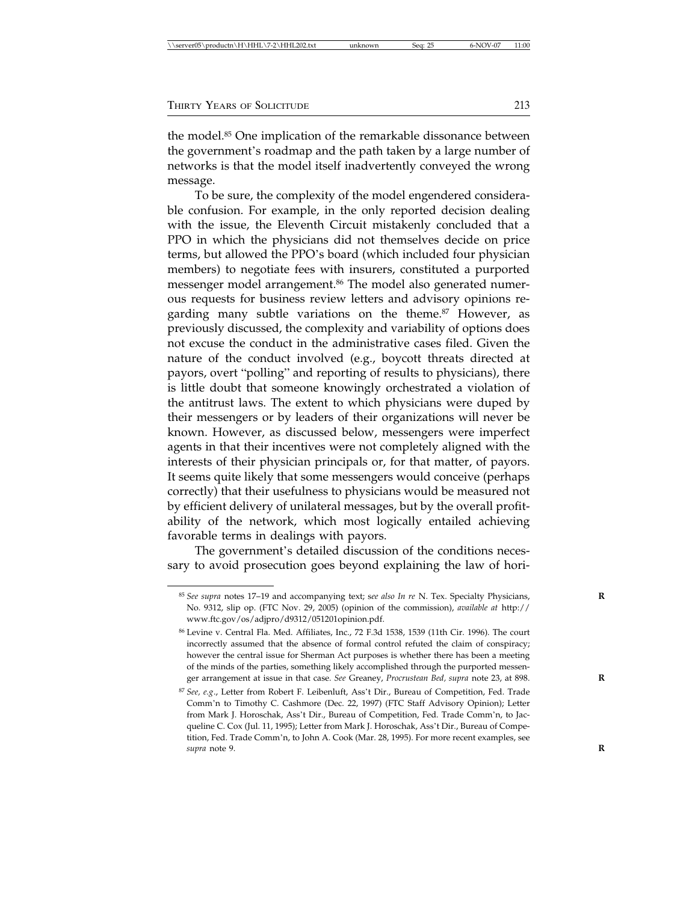| \\server05\productn\H\HHL\7-2\HHL202.txt<br>Sea: 25<br>unknown | 6-NOV-07 | 11:00 |
|----------------------------------------------------------------|----------|-------|
|----------------------------------------------------------------|----------|-------|

the model.<sup>85</sup> One implication of the remarkable dissonance between the government's roadmap and the path taken by a large number of networks is that the model itself inadvertently conveyed the wrong message.

To be sure, the complexity of the model engendered considerable confusion. For example, in the only reported decision dealing with the issue, the Eleventh Circuit mistakenly concluded that a PPO in which the physicians did not themselves decide on price terms, but allowed the PPO's board (which included four physician members) to negotiate fees with insurers, constituted a purported messenger model arrangement.<sup>86</sup> The model also generated numerous requests for business review letters and advisory opinions regarding many subtle variations on the theme.<sup>87</sup> However, as previously discussed, the complexity and variability of options does not excuse the conduct in the administrative cases filed. Given the nature of the conduct involved (e.g., boycott threats directed at payors, overt "polling" and reporting of results to physicians), there is little doubt that someone knowingly orchestrated a violation of the antitrust laws. The extent to which physicians were duped by their messengers or by leaders of their organizations will never be known. However, as discussed below, messengers were imperfect agents in that their incentives were not completely aligned with the interests of their physician principals or, for that matter, of payors. It seems quite likely that some messengers would conceive (perhaps correctly) that their usefulness to physicians would be measured not by efficient delivery of unilateral messages, but by the overall profitability of the network, which most logically entailed achieving favorable terms in dealings with payors.

The government's detailed discussion of the conditions necessary to avoid prosecution goes beyond explaining the law of hori-

<sup>85</sup> *See supra* notes 17–19 and accompanying text; s*ee also In re* N. Tex. Specialty Physicians, **R** No. 9312, slip op. (FTC Nov. 29, 2005) (opinion of the commission), *available at* http:// www.ftc.gov/os/adjpro/d9312/051201opinion.pdf.

<sup>86</sup> Levine v. Central Fla. Med. Affiliates, Inc., 72 F.3d 1538, 1539 (11th Cir. 1996). The court incorrectly assumed that the absence of formal control refuted the claim of conspiracy; however the central issue for Sherman Act purposes is whether there has been a meeting of the minds of the parties, something likely accomplished through the purported messenger arrangement at issue in that case. *See* Greaney, *Procrustean Bed, supra* note 23, at 898. **R**

<sup>87</sup> *See, e.g*., Letter from Robert F. Leibenluft, Ass't Dir., Bureau of Competition, Fed. Trade Comm'n to Timothy C. Cashmore (Dec. 22, 1997) (FTC Staff Advisory Opinion); Letter from Mark J. Horoschak, Ass't Dir., Bureau of Competition, Fed. Trade Comm'n, to Jacqueline C. Cox (Jul. 11, 1995); Letter from Mark J. Horoschak, Ass't Dir., Bureau of Competition, Fed. Trade Comm'n, to John A. Cook (Mar. 28, 1995). For more recent examples, see *supra* note 9. **R**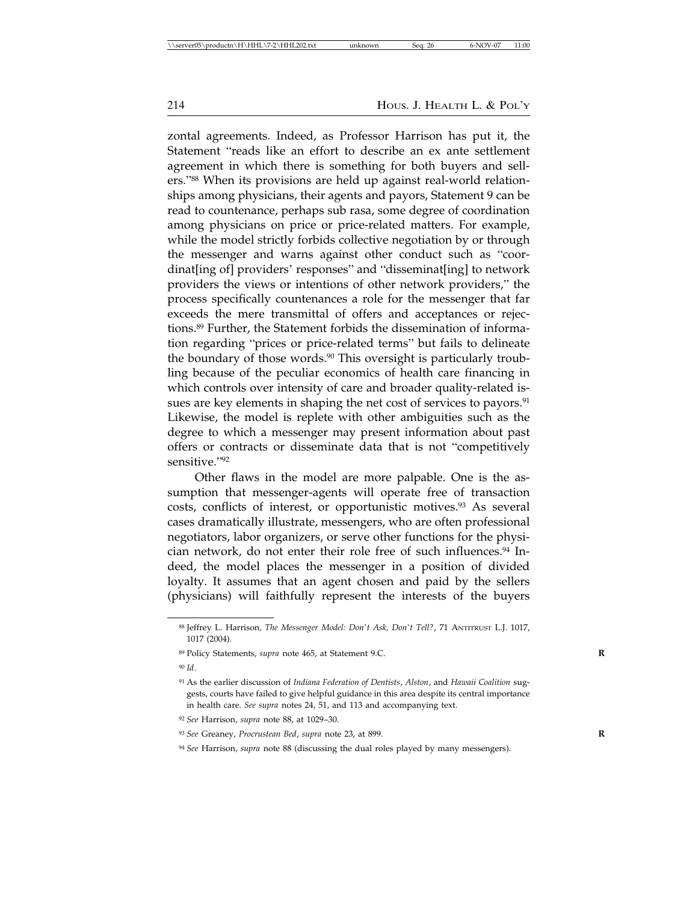zontal agreements. Indeed, as Professor Harrison has put it, the Statement "reads like an effort to describe an ex ante settlement agreement in which there is something for both buyers and sellers."88 When its provisions are held up against real-world relationships among physicians, their agents and payors, Statement 9 can be read to countenance, perhaps sub rasa, some degree of coordination among physicians on price or price-related matters. For example, while the model strictly forbids collective negotiation by or through the messenger and warns against other conduct such as "coordinat[ing of] providers' responses" and "disseminat[ing] to network providers the views or intentions of other network providers," the process specifically countenances a role for the messenger that far exceeds the mere transmittal of offers and acceptances or rejections.89 Further, the Statement forbids the dissemination of information regarding "prices or price-related terms" but fails to delineate the boundary of those words.<sup>90</sup> This oversight is particularly troubling because of the peculiar economics of health care financing in which controls over intensity of care and broader quality-related issues are key elements in shaping the net cost of services to payors.<sup>91</sup> Likewise, the model is replete with other ambiguities such as the degree to which a messenger may present information about past offers or contracts or disseminate data that is not "competitively sensitive."<sup>92</sup>

Other flaws in the model are more palpable. One is the assumption that messenger-agents will operate free of transaction costs, conflicts of interest, or opportunistic motives.<sup>93</sup> As several cases dramatically illustrate, messengers, who are often professional negotiators, labor organizers, or serve other functions for the physician network, do not enter their role free of such influences.94 Indeed, the model places the messenger in a position of divided loyalty. It assumes that an agent chosen and paid by the sellers (physicians) will faithfully represent the interests of the buyers

<sup>90</sup> *Id*.

<sup>88</sup> Jeffrey L. Harrison*, The Messenger Model: Don*'*t Ask, Don*'*t Tell?*, 71 ANTITRUST L.J. 1017, 1017 (2004).

<sup>89</sup> Policy Statements, *supra* note 465, at Statement 9.C. **R**

<sup>91</sup> As the earlier discussion of *Indiana Federation of Dentists*, *Alston*, and *Hawaii Coalition* suggests, courts have failed to give helpful guidance in this area despite its central importance in health care. *See supra* notes 24, 51, and 113 and accompanying text.

<sup>92</sup> *See* Harrison, *supra* note 88, at 1029–30.

<sup>93</sup> *See* Greaney, *Procrustean Bed*, *supra* note 23, at 899. **R**

<sup>94</sup> *See* Harrison, *supra* note 88 (discussing the dual roles played by many messengers).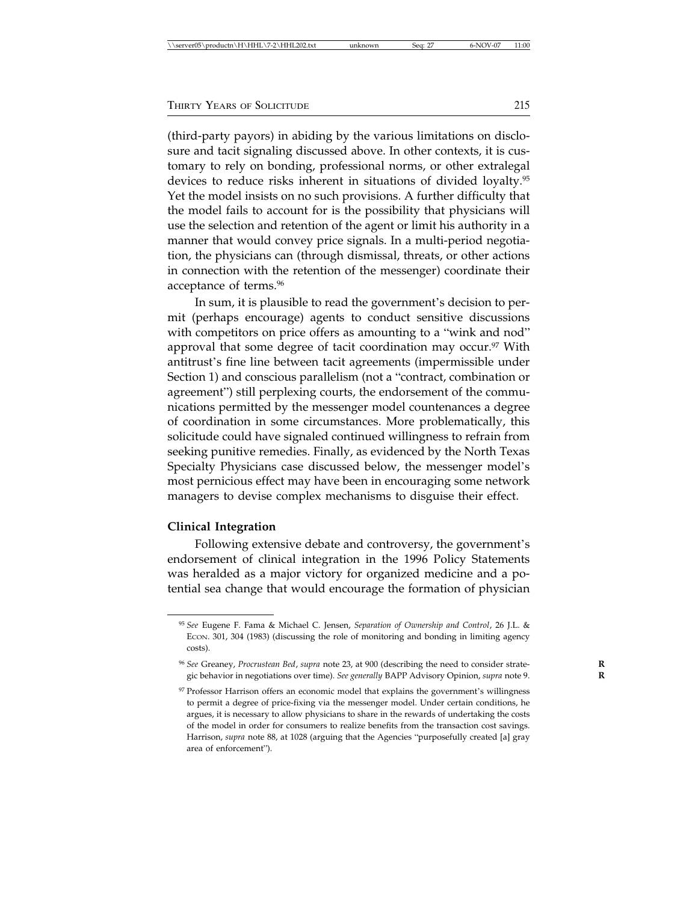(third-party payors) in abiding by the various limitations on disclosure and tacit signaling discussed above. In other contexts, it is customary to rely on bonding, professional norms, or other extralegal devices to reduce risks inherent in situations of divided loyalty.95 Yet the model insists on no such provisions. A further difficulty that the model fails to account for is the possibility that physicians will use the selection and retention of the agent or limit his authority in a manner that would convey price signals. In a multi-period negotiation, the physicians can (through dismissal, threats, or other actions in connection with the retention of the messenger) coordinate their acceptance of terms.96

In sum, it is plausible to read the government's decision to permit (perhaps encourage) agents to conduct sensitive discussions with competitors on price offers as amounting to a "wink and nod" approval that some degree of tacit coordination may occur.<sup>97</sup> With antitrust's fine line between tacit agreements (impermissible under Section 1) and conscious parallelism (not a "contract, combination or agreement") still perplexing courts, the endorsement of the communications permitted by the messenger model countenances a degree of coordination in some circumstances. More problematically, this solicitude could have signaled continued willingness to refrain from seeking punitive remedies. Finally, as evidenced by the North Texas Specialty Physicians case discussed below, the messenger model's most pernicious effect may have been in encouraging some network managers to devise complex mechanisms to disguise their effect.

#### **Clinical Integration**

Following extensive debate and controversy, the government's endorsement of clinical integration in the 1996 Policy Statements was heralded as a major victory for organized medicine and a potential sea change that would encourage the formation of physician

<sup>95</sup> *See* Eugene F. Fama & Michael C. Jensen, *Separation of Ownership and Control*, 26 J.L. & ECON. 301, 304 (1983) (discussing the role of monitoring and bonding in limiting agency costs).

<sup>96</sup> *See* Greaney, *Procrustean Bed*, *supra* note 23, at 900 (describing the need to consider strate- **R** gic behavior in negotiations over time). *See generally* BAPP Advisory Opinion, *supra* note 9. **R**

<sup>97</sup> Professor Harrison offers an economic model that explains the government's willingness to permit a degree of price-fixing via the messenger model. Under certain conditions, he argues, it is necessary to allow physicians to share in the rewards of undertaking the costs of the model in order for consumers to realize benefits from the transaction cost savings. Harrison, *supra* note 88, at 1028 (arguing that the Agencies "purposefully created [a] gray area of enforcement").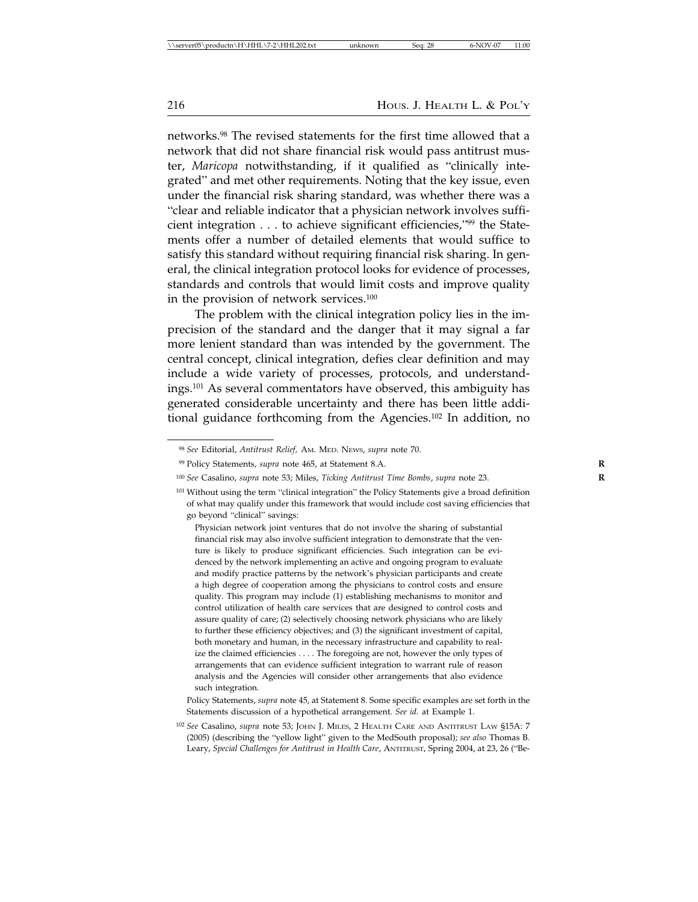networks.98 The revised statements for the first time allowed that a network that did not share financial risk would pass antitrust muster, *Maricopa* notwithstanding, if it qualified as "clinically integrated" and met other requirements. Noting that the key issue, even under the financial risk sharing standard, was whether there was a "clear and reliable indicator that a physician network involves sufficient integration . . . to achieve significant efficiencies,"99 the Statements offer a number of detailed elements that would suffice to satisfy this standard without requiring financial risk sharing. In general, the clinical integration protocol looks for evidence of processes, standards and controls that would limit costs and improve quality in the provision of network services.100

The problem with the clinical integration policy lies in the imprecision of the standard and the danger that it may signal a far more lenient standard than was intended by the government. The central concept, clinical integration, defies clear definition and may include a wide variety of processes, protocols, and understandings.101 As several commentators have observed, this ambiguity has generated considerable uncertainty and there has been little additional guidance forthcoming from the Agencies.<sup>102</sup> In addition, no

<sup>98</sup> *See* Editorial, *Antitrust Relief,* AM. MED. NEWS, *supra* note 70.

<sup>99</sup> Policy Statements, *supra* note 465, at Statement 8.A. **R**

<sup>100</sup> *See* Casalino, *supra* note 53; Miles, *Ticking Antitrust Time Bombs*, *supra* note 23. **R**

<sup>101</sup> Without using the term "clinical integration" the Policy Statements give a broad definition of what may qualify under this framework that would include cost saving efficiencies that go beyond "clinical" savings:

Physician network joint ventures that do not involve the sharing of substantial financial risk may also involve sufficient integration to demonstrate that the venture is likely to produce significant efficiencies. Such integration can be evidenced by the network implementing an active and ongoing program to evaluate and modify practice patterns by the network's physician participants and create a high degree of cooperation among the physicians to control costs and ensure quality. This program may include (1) establishing mechanisms to monitor and control utilization of health care services that are designed to control costs and assure quality of care; (2) selectively choosing network physicians who are likely to further these efficiency objectives; and (3) the significant investment of capital, both monetary and human, in the necessary infrastructure and capability to realize the claimed efficiencies . . . . The foregoing are not, however the only types of arrangements that can evidence sufficient integration to warrant rule of reason analysis and the Agencies will consider other arrangements that also evidence such integration.

Policy Statements, *supra* note 45, at Statement 8. Some specific examples are set forth in the Statements discussion of a hypothetical arrangement. *See id.* at Example 1.

<sup>102</sup> *See* Casalino, *supra* note 53; JOHN J. MILES, 2 HEALTH CARE AND ANTITRUST LAW §15A: 7 (2005) (describing the "yellow light" given to the MedSouth proposal); *see also* Thomas B. Leary, *Special Challenges for Antitrust in Health Care*, ANTITRUST, Spring 2004, at 23, 26 ("Be-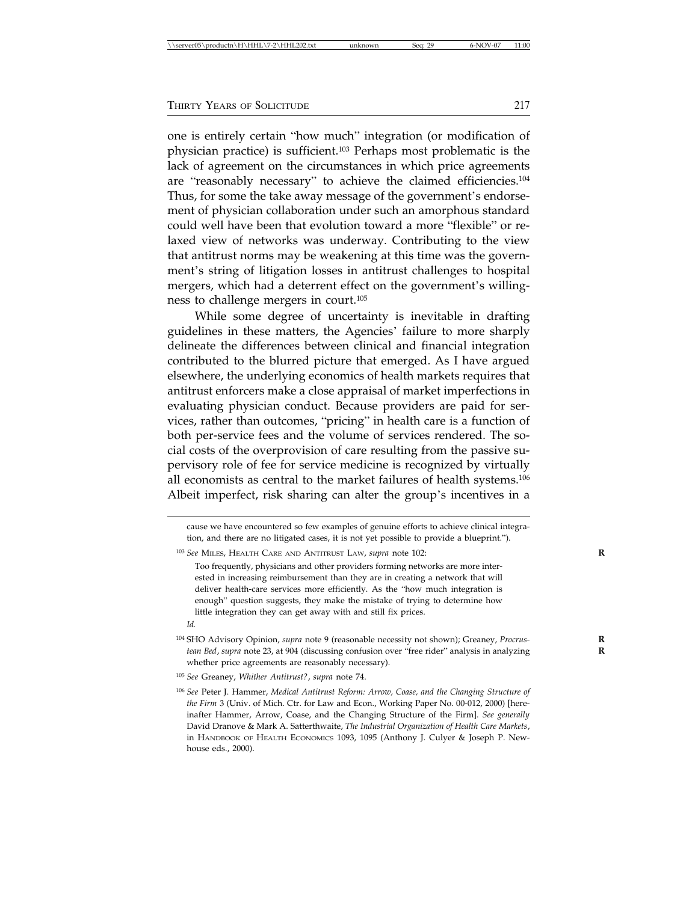one is entirely certain "how much" integration (or modification of physician practice) is sufficient.103 Perhaps most problematic is the lack of agreement on the circumstances in which price agreements are "reasonably necessary" to achieve the claimed efficiencies.<sup>104</sup> Thus, for some the take away message of the government's endorsement of physician collaboration under such an amorphous standard could well have been that evolution toward a more "flexible" or relaxed view of networks was underway. Contributing to the view that antitrust norms may be weakening at this time was the government's string of litigation losses in antitrust challenges to hospital mergers, which had a deterrent effect on the government's willingness to challenge mergers in court.<sup>105</sup>

While some degree of uncertainty is inevitable in drafting guidelines in these matters, the Agencies' failure to more sharply delineate the differences between clinical and financial integration contributed to the blurred picture that emerged. As I have argued elsewhere, the underlying economics of health markets requires that antitrust enforcers make a close appraisal of market imperfections in evaluating physician conduct. Because providers are paid for services, rather than outcomes, "pricing" in health care is a function of both per-service fees and the volume of services rendered. The social costs of the overprovision of care resulting from the passive supervisory role of fee for service medicine is recognized by virtually all economists as central to the market failures of health systems.106 Albeit imperfect, risk sharing can alter the group's incentives in a

<sup>104</sup> SHO Advisory Opinion, *supra* note 9 (reasonable necessity not shown); Greaney, *Procrus-* **R** *tean Bed*, *supra* note 23, at 904 (discussing confusion over "free rider" analysis in analyzing **R** whether price agreements are reasonably necessary).

cause we have encountered so few examples of genuine efforts to achieve clinical integration, and there are no litigated cases, it is not yet possible to provide a blueprint.").

<sup>103</sup> *See* MILES, HEALTH CARE AND ANTITRUST LAW, *supra* note 102: **R**

Too frequently, physicians and other providers forming networks are more interested in increasing reimbursement than they are in creating a network that will deliver health-care services more efficiently. As the "how much integration is enough" question suggests, they make the mistake of trying to determine how little integration they can get away with and still fix prices.

*Id.*

<sup>105</sup> *See* Greaney, *Whither Antitrust?*, *supra* note 74.

<sup>106</sup> *See* Peter J. Hammer, *Medical Antitrust Reform: Arrow, Coase, and the Changing Structure of the Firm* 3 (Univ. of Mich. Ctr. for Law and Econ., Working Paper No. 00-012, 2000) [hereinafter Hammer, Arrow, Coase, and the Changing Structure of the Firm]. *See generally* David Dranove & Mark A. Satterthwaite, *The Industrial Organization of Health Care Markets*, in HANDBOOK OF HEALTH ECONOMICS 1093, 1095 (Anthony J. Culyer & Joseph P. Newhouse eds., 2000).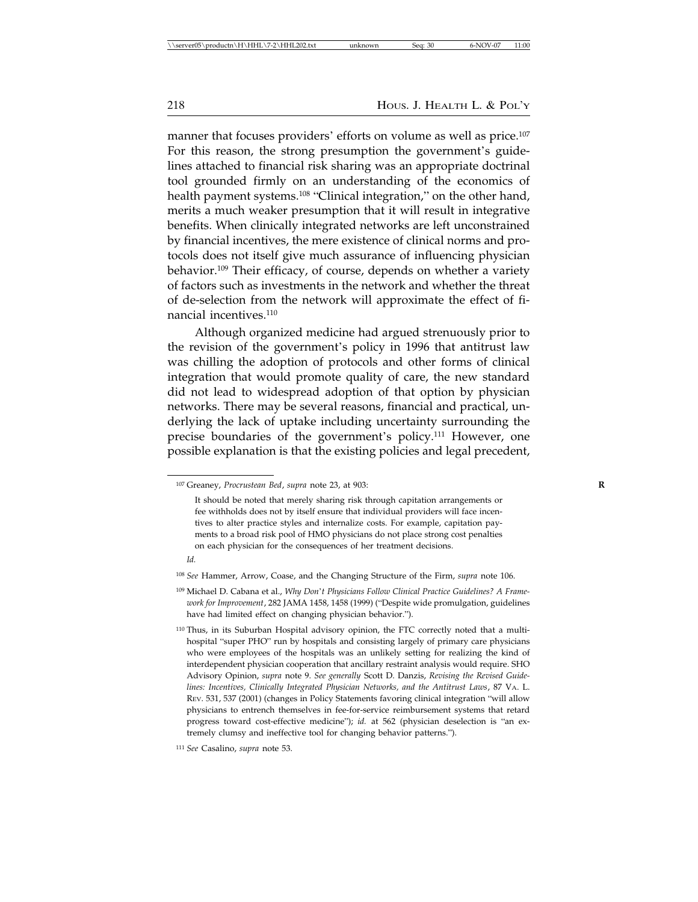manner that focuses providers' efforts on volume as well as price.<sup>107</sup> For this reason, the strong presumption the government's guidelines attached to financial risk sharing was an appropriate doctrinal tool grounded firmly on an understanding of the economics of health payment systems.<sup>108</sup> "Clinical integration," on the other hand, merits a much weaker presumption that it will result in integrative benefits. When clinically integrated networks are left unconstrained by financial incentives, the mere existence of clinical norms and protocols does not itself give much assurance of influencing physician behavior.109 Their efficacy, of course, depends on whether a variety of factors such as investments in the network and whether the threat of de-selection from the network will approximate the effect of financial incentives.<sup>110</sup>

Although organized medicine had argued strenuously prior to the revision of the government's policy in 1996 that antitrust law was chilling the adoption of protocols and other forms of clinical integration that would promote quality of care, the new standard did not lead to widespread adoption of that option by physician networks. There may be several reasons, financial and practical, underlying the lack of uptake including uncertainty surrounding the precise boundaries of the government's policy.<sup>111</sup> However, one possible explanation is that the existing policies and legal precedent,

<sup>107</sup> Greaney, *Procrustean Bed*, *supra* note 23, at 903: **R**

It should be noted that merely sharing risk through capitation arrangements or fee withholds does not by itself ensure that individual providers will face incentives to alter practice styles and internalize costs. For example, capitation payments to a broad risk pool of HMO physicians do not place strong cost penalties on each physician for the consequences of her treatment decisions.

*Id.*

<sup>108</sup> *See* Hammer, Arrow, Coase, and the Changing Structure of the Firm, *supra* note 106.

<sup>109</sup> Michael D. Cabana et al., *Why Don*'*t Physicians Follow Clinical Practice Guidelines? A Framework for Improvement*, 282 JAMA 1458, 1458 (1999) ("Despite wide promulgation, guidelines have had limited effect on changing physician behavior.").

<sup>&</sup>lt;sup>110</sup> Thus, in its Suburban Hospital advisory opinion, the FTC correctly noted that a multihospital "super PHO" run by hospitals and consisting largely of primary care physicians who were employees of the hospitals was an unlikely setting for realizing the kind of interdependent physician cooperation that ancillary restraint analysis would require. SHO Advisory Opinion, *supra* note 9. *See generally* Scott D. Danzis, *Revising the Revised Guidelines: Incentives, Clinically Integrated Physician Networks, and the Antitrust Laws*, 87 VA. L. REV. 531, 537 (2001) (changes in Policy Statements favoring clinical integration "will allow physicians to entrench themselves in fee-for-service reimbursement systems that retard progress toward cost-effective medicine"); *id.* at 562 (physician deselection is "an extremely clumsy and ineffective tool for changing behavior patterns.").

<sup>111</sup> *See* Casalino, *supra* note 53.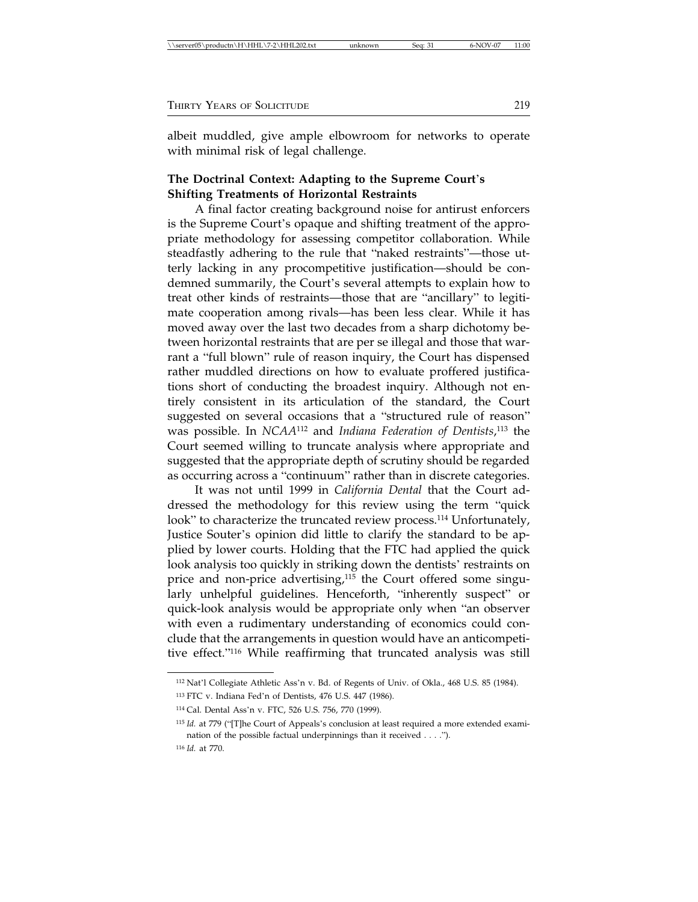| \\server05\productn\H\HHL\7-2\HHL202.txt<br>$6-NOV-07$<br>Sea: 31<br>unknown | 11:00 |
|------------------------------------------------------------------------------|-------|
|------------------------------------------------------------------------------|-------|

albeit muddled, give ample elbowroom for networks to operate with minimal risk of legal challenge.

## **The Doctrinal Context: Adapting to the Supreme Court**'**s Shifting Treatments of Horizontal Restraints**

A final factor creating background noise for antirust enforcers is the Supreme Court's opaque and shifting treatment of the appropriate methodology for assessing competitor collaboration. While steadfastly adhering to the rule that "naked restraints"—those utterly lacking in any procompetitive justification—should be condemned summarily, the Court's several attempts to explain how to treat other kinds of restraints—those that are "ancillary" to legitimate cooperation among rivals—has been less clear. While it has moved away over the last two decades from a sharp dichotomy between horizontal restraints that are per se illegal and those that warrant a "full blown" rule of reason inquiry, the Court has dispensed rather muddled directions on how to evaluate proffered justifications short of conducting the broadest inquiry. Although not entirely consistent in its articulation of the standard, the Court suggested on several occasions that a "structured rule of reason" was possible. In *NCAA*112 and *Indiana Federation of Dentists*, 113 the Court seemed willing to truncate analysis where appropriate and suggested that the appropriate depth of scrutiny should be regarded as occurring across a "continuum" rather than in discrete categories.

It was not until 1999 in *California Dental* that the Court addressed the methodology for this review using the term "quick look" to characterize the truncated review process.<sup>114</sup> Unfortunately, Justice Souter's opinion did little to clarify the standard to be applied by lower courts. Holding that the FTC had applied the quick look analysis too quickly in striking down the dentists' restraints on price and non-price advertising, $115$  the Court offered some singularly unhelpful guidelines. Henceforth, "inherently suspect" or quick-look analysis would be appropriate only when "an observer with even a rudimentary understanding of economics could conclude that the arrangements in question would have an anticompetitive effect."116 While reaffirming that truncated analysis was still

<sup>112</sup> Nat'l Collegiate Athletic Ass'n v. Bd. of Regents of Univ. of Okla., 468 U.S. 85 (1984).

<sup>113</sup> FTC v. Indiana Fed'n of Dentists, 476 U.S. 447 (1986).

<sup>114</sup> Cal. Dental Ass'n v. FTC, 526 U.S. 756, 770 (1999).

<sup>115</sup> *Id.* at 779 ("[T]he Court of Appeals's conclusion at least required a more extended examination of the possible factual underpinnings than it received . . . .").

<sup>116</sup> *Id.* at 770.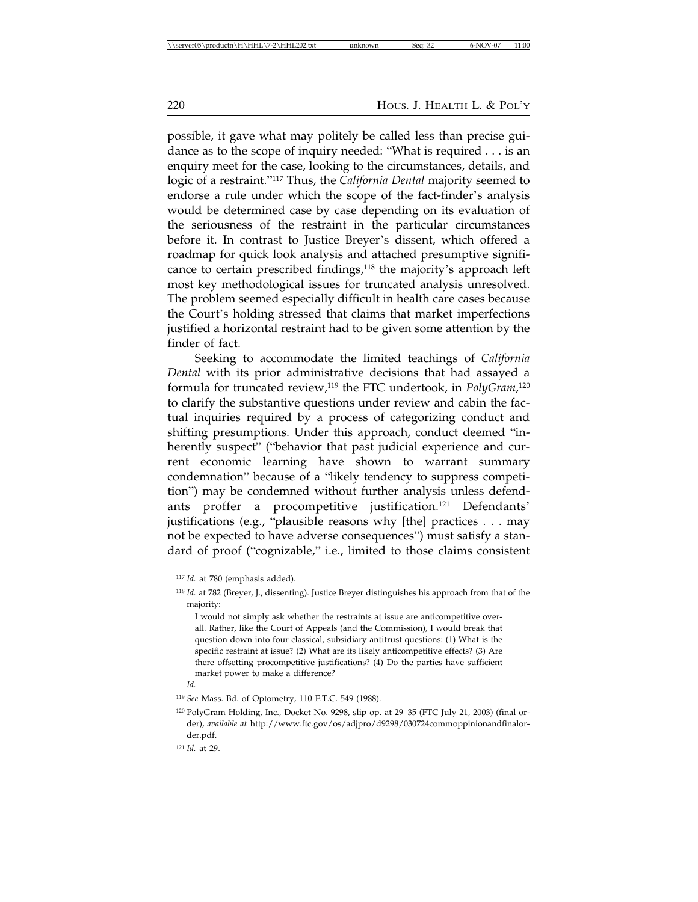possible, it gave what may politely be called less than precise guidance as to the scope of inquiry needed: "What is required . . . is an enquiry meet for the case, looking to the circumstances, details, and logic of a restraint."117 Thus, the *California Dental* majority seemed to endorse a rule under which the scope of the fact-finder's analysis would be determined case by case depending on its evaluation of the seriousness of the restraint in the particular circumstances before it. In contrast to Justice Breyer's dissent, which offered a roadmap for quick look analysis and attached presumptive significance to certain prescribed findings,<sup>118</sup> the majority's approach left most key methodological issues for truncated analysis unresolved. The problem seemed especially difficult in health care cases because the Court's holding stressed that claims that market imperfections justified a horizontal restraint had to be given some attention by the finder of fact.

Seeking to accommodate the limited teachings of *California Dental* with its prior administrative decisions that had assayed a formula for truncated review,119 the FTC undertook, in *PolyGram*, 120 to clarify the substantive questions under review and cabin the factual inquiries required by a process of categorizing conduct and shifting presumptions. Under this approach, conduct deemed "inherently suspect" ("behavior that past judicial experience and current economic learning have shown to warrant summary condemnation" because of a "likely tendency to suppress competition") may be condemned without further analysis unless defendants proffer a procompetitive justification.121 Defendants' justifications (e.g., "plausible reasons why [the] practices . . . may not be expected to have adverse consequences") must satisfy a standard of proof ("cognizable," i.e., limited to those claims consistent

<sup>117</sup> *Id.* at 780 (emphasis added).

<sup>118</sup> *Id.* at 782 (Breyer, J., dissenting). Justice Breyer distinguishes his approach from that of the majority:

I would not simply ask whether the restraints at issue are anticompetitive overall. Rather, like the Court of Appeals (and the Commission), I would break that question down into four classical, subsidiary antitrust questions: (1) What is the specific restraint at issue? (2) What are its likely anticompetitive effects? (3) Are there offsetting procompetitive justifications? (4) Do the parties have sufficient market power to make a difference?

*Id.*

<sup>119</sup> *See* Mass. Bd. of Optometry, 110 F.T.C. 549 (1988).

<sup>120</sup> PolyGram Holding, Inc., Docket No. 9298, slip op. at 29–35 (FTC July 21, 2003) (final order), *available at* http://www.ftc.gov/os/adjpro/d9298/030724commoppinionandfinalorder.pdf.

<sup>121</sup> *Id.* at 29.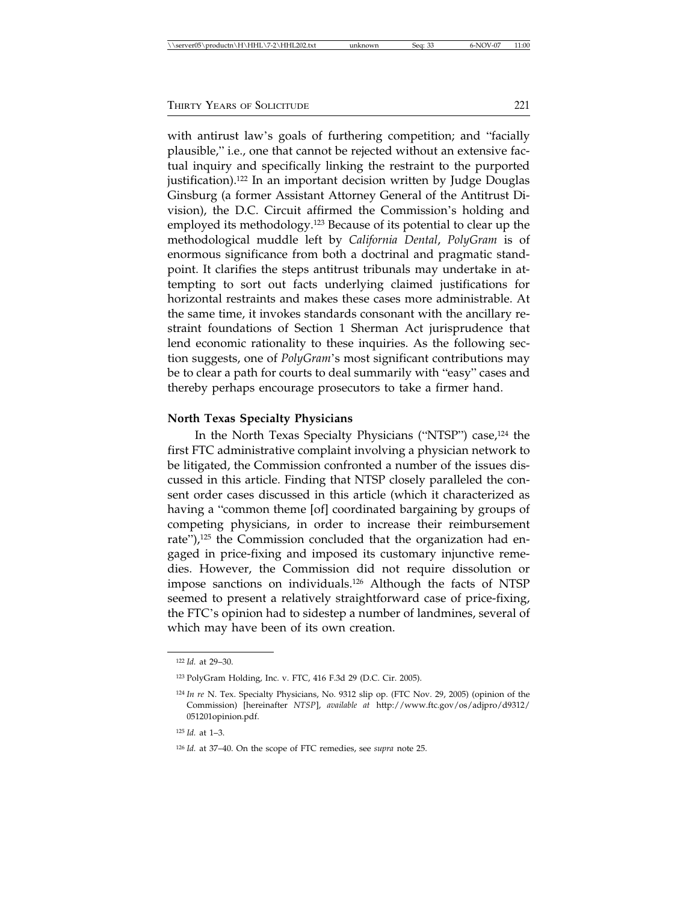with antirust law's goals of furthering competition; and "facially plausible," i.e., one that cannot be rejected without an extensive factual inquiry and specifically linking the restraint to the purported justification).122 In an important decision written by Judge Douglas Ginsburg (a former Assistant Attorney General of the Antitrust Division), the D.C. Circuit affirmed the Commission's holding and employed its methodology.<sup>123</sup> Because of its potential to clear up the methodological muddle left by *California Dental*, *PolyGram* is of enormous significance from both a doctrinal and pragmatic standpoint. It clarifies the steps antitrust tribunals may undertake in attempting to sort out facts underlying claimed justifications for horizontal restraints and makes these cases more administrable. At the same time, it invokes standards consonant with the ancillary restraint foundations of Section 1 Sherman Act jurisprudence that lend economic rationality to these inquiries. As the following section suggests, one of *PolyGram*'s most significant contributions may be to clear a path for courts to deal summarily with "easy" cases and thereby perhaps encourage prosecutors to take a firmer hand.

#### **North Texas Specialty Physicians**

In the North Texas Specialty Physicians ("NTSP") case,<sup>124</sup> the first FTC administrative complaint involving a physician network to be litigated, the Commission confronted a number of the issues discussed in this article. Finding that NTSP closely paralleled the consent order cases discussed in this article (which it characterized as having a "common theme [of] coordinated bargaining by groups of competing physicians, in order to increase their reimbursement rate"),<sup>125</sup> the Commission concluded that the organization had engaged in price-fixing and imposed its customary injunctive remedies. However, the Commission did not require dissolution or impose sanctions on individuals.126 Although the facts of NTSP seemed to present a relatively straightforward case of price-fixing, the FTC's opinion had to sidestep a number of landmines, several of which may have been of its own creation.

<sup>122</sup> *Id.* at 29–30.

<sup>123</sup> PolyGram Holding, Inc. v. FTC, 416 F.3d 29 (D.C. Cir. 2005).

<sup>124</sup> *In re* N. Tex. Specialty Physicians, No. 9312 slip op. (FTC Nov. 29, 2005) (opinion of the Commission) [hereinafter *NTSP*], *available at* http://www.ftc.gov/os/adjpro/d9312/ 051201opinion.pdf.

<sup>125</sup> *Id.* at 1–3.

<sup>126</sup> *Id.* at 37–40. On the scope of FTC remedies, see *supra* note 25.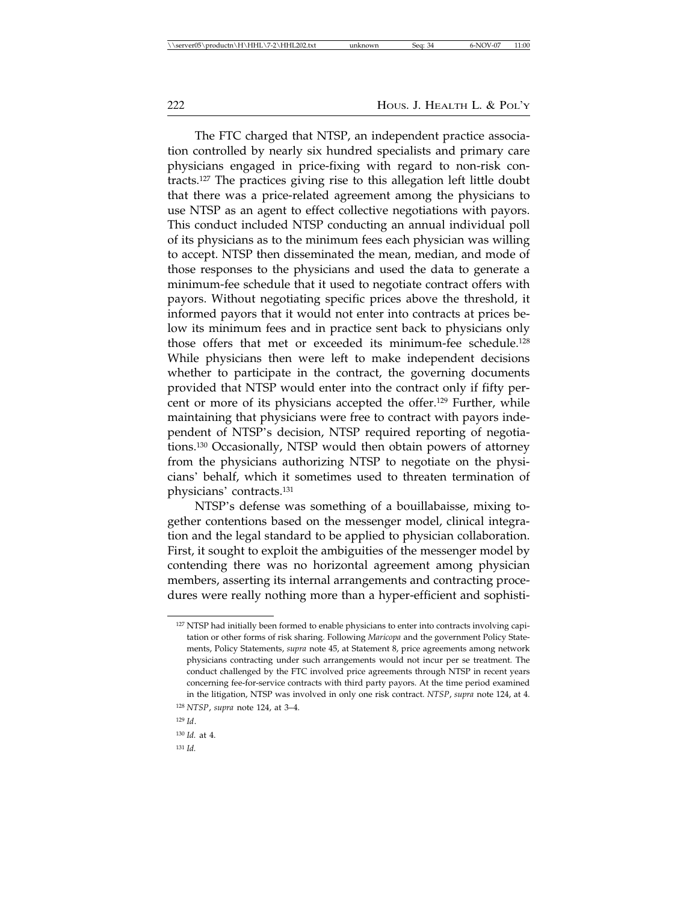The FTC charged that NTSP, an independent practice association controlled by nearly six hundred specialists and primary care physicians engaged in price-fixing with regard to non-risk contracts.127 The practices giving rise to this allegation left little doubt that there was a price-related agreement among the physicians to use NTSP as an agent to effect collective negotiations with payors. This conduct included NTSP conducting an annual individual poll of its physicians as to the minimum fees each physician was willing to accept. NTSP then disseminated the mean, median, and mode of those responses to the physicians and used the data to generate a minimum-fee schedule that it used to negotiate contract offers with payors. Without negotiating specific prices above the threshold, it informed payors that it would not enter into contracts at prices below its minimum fees and in practice sent back to physicians only those offers that met or exceeded its minimum-fee schedule.128 While physicians then were left to make independent decisions whether to participate in the contract, the governing documents provided that NTSP would enter into the contract only if fifty percent or more of its physicians accepted the offer.<sup>129</sup> Further, while maintaining that physicians were free to contract with payors independent of NTSP's decision, NTSP required reporting of negotiations.130 Occasionally, NTSP would then obtain powers of attorney from the physicians authorizing NTSP to negotiate on the physicians' behalf, which it sometimes used to threaten termination of physicians' contracts.131

NTSP's defense was something of a bouillabaisse, mixing together contentions based on the messenger model, clinical integration and the legal standard to be applied to physician collaboration. First, it sought to exploit the ambiguities of the messenger model by contending there was no horizontal agreement among physician members, asserting its internal arrangements and contracting procedures were really nothing more than a hyper-efficient and sophisti-

<sup>&</sup>lt;sup>127</sup> NTSP had initially been formed to enable physicians to enter into contracts involving capitation or other forms of risk sharing. Following *Maricopa* and the government Policy Statements, Policy Statements, *supra* note 45, at Statement 8, price agreements among network physicians contracting under such arrangements would not incur per se treatment. The conduct challenged by the FTC involved price agreements through NTSP in recent years concerning fee-for-service contracts with third party payors. At the time period examined in the litigation, NTSP was involved in only one risk contract. *NTSP*, *supra* note 124, at 4.

<sup>128</sup> *NTSP*, *supra* note 124, at 3–4.

<sup>129</sup> *Id*.

<sup>130</sup> *Id.* at 4.

<sup>131</sup> *Id.*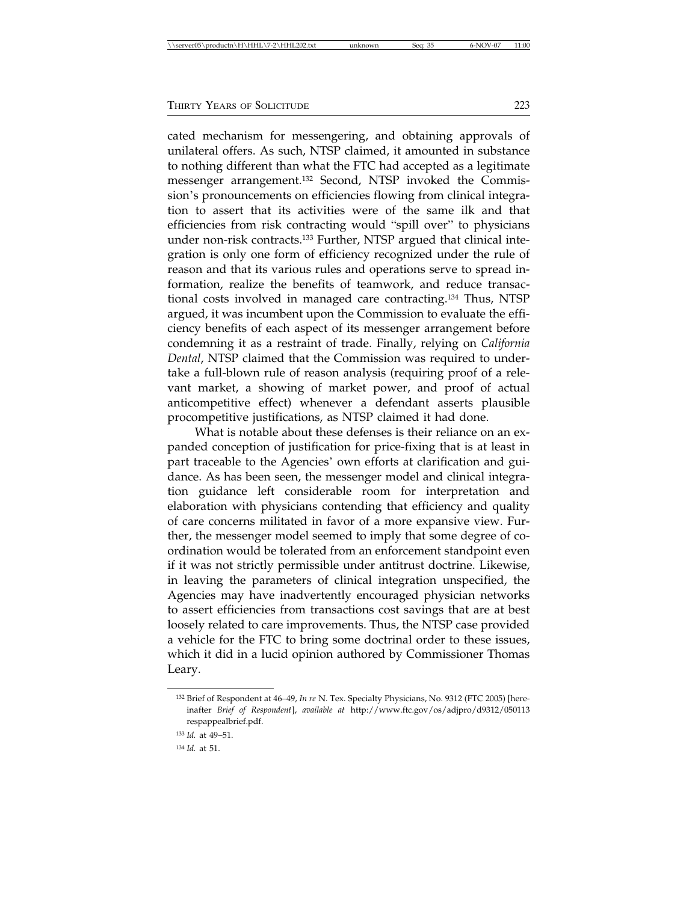cated mechanism for messengering, and obtaining approvals of unilateral offers. As such, NTSP claimed, it amounted in substance to nothing different than what the FTC had accepted as a legitimate messenger arrangement.132 Second, NTSP invoked the Commission's pronouncements on efficiencies flowing from clinical integration to assert that its activities were of the same ilk and that efficiencies from risk contracting would "spill over" to physicians under non-risk contracts.<sup>133</sup> Further, NTSP argued that clinical integration is only one form of efficiency recognized under the rule of reason and that its various rules and operations serve to spread information, realize the benefits of teamwork, and reduce transactional costs involved in managed care contracting.134 Thus, NTSP argued, it was incumbent upon the Commission to evaluate the efficiency benefits of each aspect of its messenger arrangement before condemning it as a restraint of trade. Finally, relying on *California Dental*, NTSP claimed that the Commission was required to undertake a full-blown rule of reason analysis (requiring proof of a relevant market, a showing of market power, and proof of actual anticompetitive effect) whenever a defendant asserts plausible procompetitive justifications, as NTSP claimed it had done.

What is notable about these defenses is their reliance on an expanded conception of justification for price-fixing that is at least in part traceable to the Agencies' own efforts at clarification and guidance. As has been seen, the messenger model and clinical integration guidance left considerable room for interpretation and elaboration with physicians contending that efficiency and quality of care concerns militated in favor of a more expansive view. Further, the messenger model seemed to imply that some degree of coordination would be tolerated from an enforcement standpoint even if it was not strictly permissible under antitrust doctrine. Likewise, in leaving the parameters of clinical integration unspecified, the Agencies may have inadvertently encouraged physician networks to assert efficiencies from transactions cost savings that are at best loosely related to care improvements. Thus, the NTSP case provided a vehicle for the FTC to bring some doctrinal order to these issues, which it did in a lucid opinion authored by Commissioner Thomas Leary.

<sup>132</sup> Brief of Respondent at 46–49, *In re* N. Tex. Specialty Physicians, No. 9312 (FTC 2005) [hereinafter *Brief of Respondent*], *available at* http://www.ftc.gov/os/adjpro/d9312/050113 respappealbrief.pdf.

<sup>133</sup> *Id.* at 49–51.

<sup>134</sup> *Id.* at 51.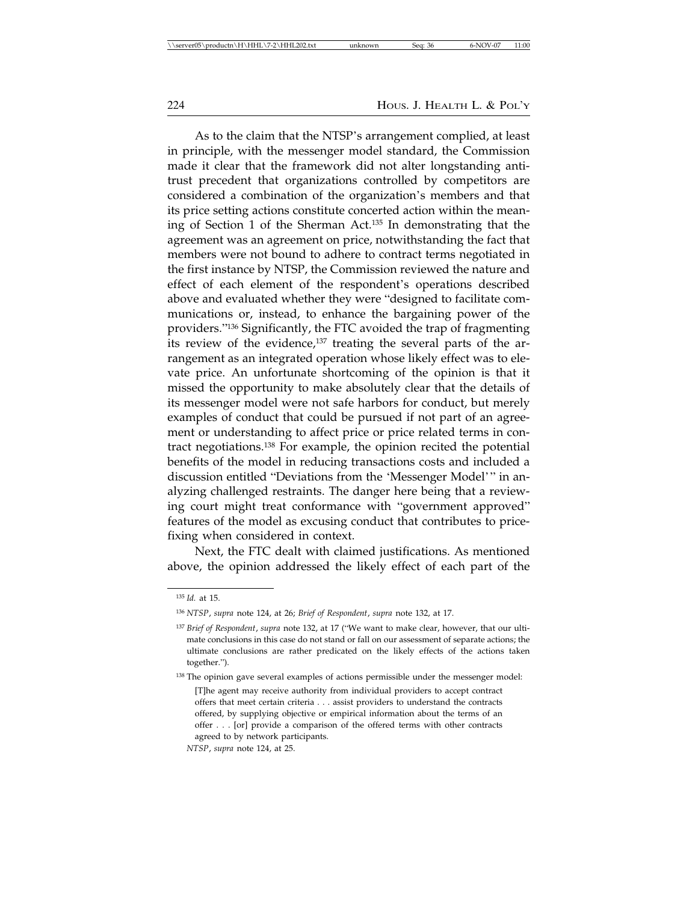As to the claim that the NTSP's arrangement complied, at least in principle, with the messenger model standard, the Commission made it clear that the framework did not alter longstanding antitrust precedent that organizations controlled by competitors are considered a combination of the organization's members and that its price setting actions constitute concerted action within the meaning of Section 1 of the Sherman Act.135 In demonstrating that the agreement was an agreement on price, notwithstanding the fact that members were not bound to adhere to contract terms negotiated in the first instance by NTSP, the Commission reviewed the nature and effect of each element of the respondent's operations described above and evaluated whether they were "designed to facilitate communications or, instead, to enhance the bargaining power of the providers."136 Significantly, the FTC avoided the trap of fragmenting its review of the evidence, $137$  treating the several parts of the arrangement as an integrated operation whose likely effect was to elevate price. An unfortunate shortcoming of the opinion is that it missed the opportunity to make absolutely clear that the details of its messenger model were not safe harbors for conduct, but merely examples of conduct that could be pursued if not part of an agreement or understanding to affect price or price related terms in contract negotiations.138 For example, the opinion recited the potential benefits of the model in reducing transactions costs and included a discussion entitled "Deviations from the 'Messenger Model'" in analyzing challenged restraints. The danger here being that a reviewing court might treat conformance with "government approved" features of the model as excusing conduct that contributes to pricefixing when considered in context.

Next, the FTC dealt with claimed justifications. As mentioned above, the opinion addressed the likely effect of each part of the

<sup>135</sup> *Id.* at 15.

<sup>136</sup> *NTSP*, *supra* note 124, at 26; *Brief of Respondent*, *supra* note 132, at 17.

<sup>137</sup> *Brief of Respondent*, *supra* note 132, at 17 ("We want to make clear, however, that our ultimate conclusions in this case do not stand or fall on our assessment of separate actions; the ultimate conclusions are rather predicated on the likely effects of the actions taken together.").

<sup>138</sup> The opinion gave several examples of actions permissible under the messenger model: [T]he agent may receive authority from individual providers to accept contract offers that meet certain criteria . . . assist providers to understand the contracts offered, by supplying objective or empirical information about the terms of an offer . . . [or] provide a comparison of the offered terms with other contracts agreed to by network participants.

*NTSP*, *supra* note 124, at 25.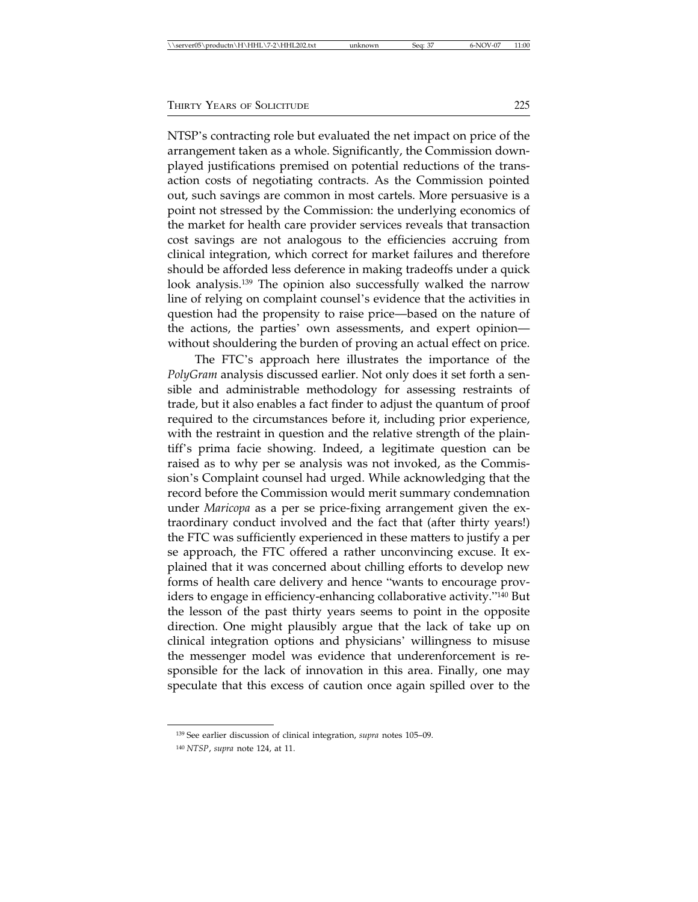NTSP's contracting role but evaluated the net impact on price of the arrangement taken as a whole. Significantly, the Commission downplayed justifications premised on potential reductions of the transaction costs of negotiating contracts. As the Commission pointed out, such savings are common in most cartels. More persuasive is a point not stressed by the Commission: the underlying economics of the market for health care provider services reveals that transaction cost savings are not analogous to the efficiencies accruing from clinical integration, which correct for market failures and therefore should be afforded less deference in making tradeoffs under a quick look analysis.139 The opinion also successfully walked the narrow line of relying on complaint counsel's evidence that the activities in question had the propensity to raise price—based on the nature of the actions, the parties' own assessments, and expert opinion without shouldering the burden of proving an actual effect on price.

The FTC's approach here illustrates the importance of the *PolyGram* analysis discussed earlier. Not only does it set forth a sensible and administrable methodology for assessing restraints of trade, but it also enables a fact finder to adjust the quantum of proof required to the circumstances before it, including prior experience, with the restraint in question and the relative strength of the plaintiff's prima facie showing. Indeed, a legitimate question can be raised as to why per se analysis was not invoked, as the Commission's Complaint counsel had urged. While acknowledging that the record before the Commission would merit summary condemnation under *Maricopa* as a per se price-fixing arrangement given the extraordinary conduct involved and the fact that (after thirty years!) the FTC was sufficiently experienced in these matters to justify a per se approach, the FTC offered a rather unconvincing excuse. It explained that it was concerned about chilling efforts to develop new forms of health care delivery and hence "wants to encourage providers to engage in efficiency-enhancing collaborative activity."140 But the lesson of the past thirty years seems to point in the opposite direction. One might plausibly argue that the lack of take up on clinical integration options and physicians' willingness to misuse the messenger model was evidence that underenforcement is responsible for the lack of innovation in this area. Finally, one may speculate that this excess of caution once again spilled over to the

<sup>139</sup> See earlier discussion of clinical integration, *supra* notes 105–09.

<sup>140</sup> *NTSP*, *supra* note 124, at 11.